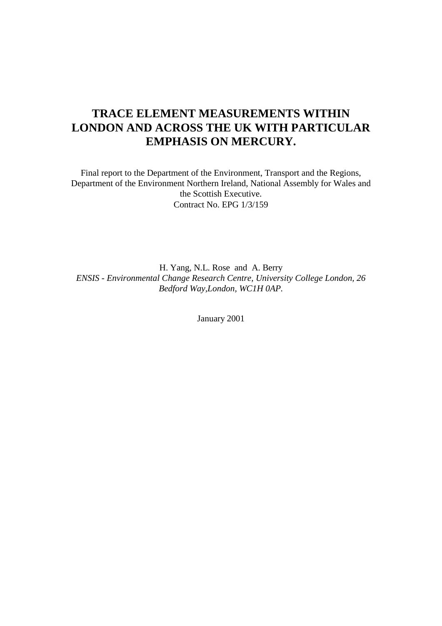# **TRACE ELEMENT MEASUREMENTS WITHIN LONDON AND ACROSS THE UK WITH PARTICULAR EMPHASIS ON MERCURY.**

Final report to the Department of the Environment, Transport and the Regions, Department of the Environment Northern Ireland, National Assembly for Wales and the Scottish Executive. Contract No. EPG 1/3/159

H. Yang, N.L. Rose and A. Berry *ENSIS - Environmental Change Research Centre, University College London, 26 Bedford Way,London, WC1H 0AP.*

January 2001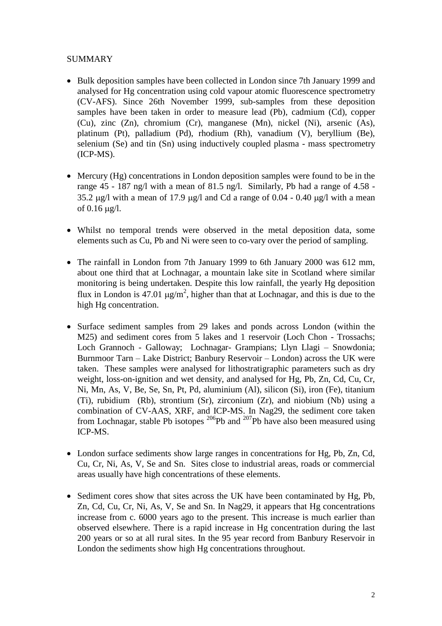# SUMMARY

- Bulk deposition samples have been collected in London since 7th January 1999 and analysed for Hg concentration using cold vapour atomic fluorescence spectrometry (CV-AFS). Since 26th November 1999, sub-samples from these deposition samples have been taken in order to measure lead (Pb), cadmium (Cd), copper (Cu), zinc (Zn), chromium (Cr), manganese (Mn), nickel (Ni), arsenic (As), platinum (Pt), palladium (Pd), rhodium (Rh), vanadium (V), beryllium (Be), selenium (Se) and tin (Sn) using inductively coupled plasma - mass spectrometry (ICP-MS).
- Mercury (Hg) concentrations in London deposition samples were found to be in the range 45 - 187 ng/l with a mean of 81.5 ng/l. Similarly, Pb had a range of 4.58 - 35.2  $\mu$ g/l with a mean of 17.9  $\mu$ g/l and Cd a range of 0.04 - 0.40  $\mu$ g/l with a mean of  $0.16 \text{ µg}/l$ .
- Whilst no temporal trends were observed in the metal deposition data, some elements such as Cu, Pb and Ni were seen to co-vary over the period of sampling.
- The rainfall in London from 7th January 1999 to 6th January 2000 was 612 mm, about one third that at Lochnagar, a mountain lake site in Scotland where similar monitoring is being undertaken. Despite this low rainfall, the yearly Hg deposition flux in London is 47.01  $\mu$ g/m<sup>2</sup>, higher than that at Lochnagar, and this is due to the high Hg concentration.
- Surface sediment samples from 29 lakes and ponds across London (within the M25) and sediment cores from 5 lakes and 1 reservoir (Loch Chon - Trossachs; Loch Grannoch - Galloway; Lochnagar- Grampians; Llyn Llagi – Snowdonia; Burnmoor Tarn – Lake District; Banbury Reservoir – London) across the UK were taken. These samples were analysed for lithostratigraphic parameters such as dry weight, loss-on-ignition and wet density, and analysed for Hg, Pb, Zn, Cd, Cu, Cr, Ni, Mn, As, V, Be, Se, Sn, Pt, Pd, aluminium (Al), silicon (Si), iron (Fe), titanium (Ti), rubidium (Rb), strontium (Sr), zirconium (Zr), and niobium (Nb) using a combination of CV-AAS, XRF, and ICP-MS. In Nag29, the sediment core taken from Lochnagar, stable Pb isotopes  $^{206}$ Pb and  $^{207}$ Pb have also been measured using ICP-MS.
- London surface sediments show large ranges in concentrations for Hg, Pb, Zn, Cd, Cu, Cr, Ni, As, V, Se and Sn. Sites close to industrial areas, roads or commercial areas usually have high concentrations of these elements.
- Sediment cores show that sites across the UK have been contaminated by Hg, Pb, Zn, Cd, Cu, Cr, Ni, As, V, Se and Sn. In Nag29, it appears that Hg concentrations increase from c. 6000 years ago to the present. This increase is much earlier than observed elsewhere. There is a rapid increase in Hg concentration during the last 200 years or so at all rural sites. In the 95 year record from Banbury Reservoir in London the sediments show high Hg concentrations throughout.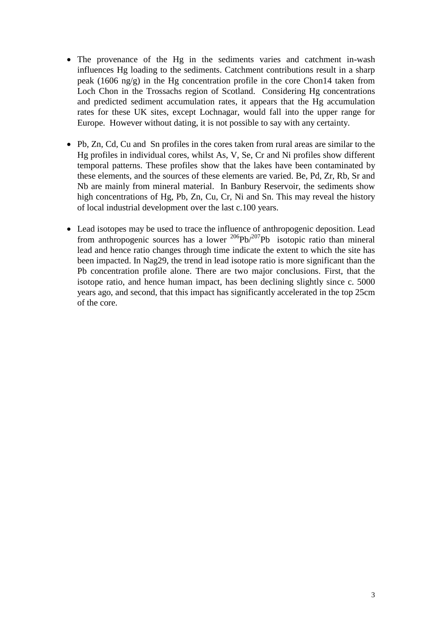- The provenance of the Hg in the sediments varies and catchment in-wash influences Hg loading to the sediments. Catchment contributions result in a sharp peak (1606 ng/g) in the Hg concentration profile in the core Chon14 taken from Loch Chon in the Trossachs region of Scotland. Considering Hg concentrations and predicted sediment accumulation rates, it appears that the Hg accumulation rates for these UK sites, except Lochnagar, would fall into the upper range for Europe. However without dating, it is not possible to say with any certainty.
- Pb, Zn, Cd, Cu and Sn profiles in the cores taken from rural areas are similar to the Hg profiles in individual cores, whilst As, V, Se, Cr and Ni profiles show different temporal patterns. These profiles show that the lakes have been contaminated by these elements, and the sources of these elements are varied. Be, Pd, Zr, Rb, Sr and Nb are mainly from mineral material. In Banbury Reservoir, the sediments show high concentrations of Hg, Pb, Zn, Cu, Cr, Ni and Sn. This may reveal the history of local industrial development over the last c.100 years.
- Lead isotopes may be used to trace the influence of anthropogenic deposition. Lead from anthropogenic sources has a lower  $^{206}Pb/^{207}Pb$  isotopic ratio than mineral lead and hence ratio changes through time indicate the extent to which the site has been impacted. In Nag29, the trend in lead isotope ratio is more significant than the Pb concentration profile alone. There are two major conclusions. First, that the isotope ratio, and hence human impact, has been declining slightly since c. 5000 years ago, and second, that this impact has significantly accelerated in the top 25cm of the core.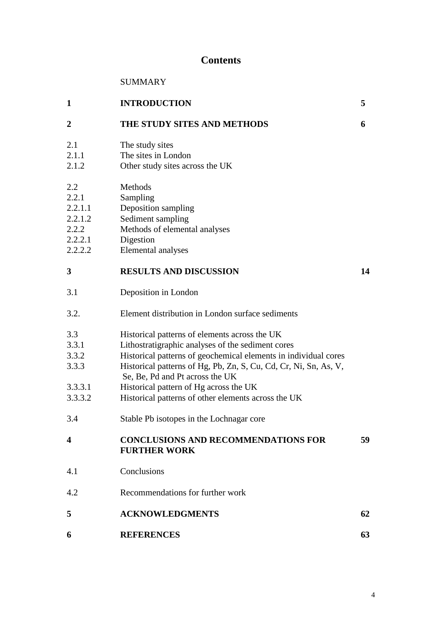# **Contents**

| SUMMARY |
|---------|
|---------|

| 1                | <b>INTRODUCTION</b>                                               | 5  |
|------------------|-------------------------------------------------------------------|----|
| $\boldsymbol{2}$ | THE STUDY SITES AND METHODS                                       | 6  |
| 2.1              | The study sites                                                   |    |
| 2.1.1            | The sites in London                                               |    |
| 2.1.2            | Other study sites across the UK                                   |    |
| 2.2              | Methods                                                           |    |
| 2.2.1            | Sampling                                                          |    |
| 2.2.1.1          | Deposition sampling                                               |    |
| 2.2.1.2          | Sediment sampling                                                 |    |
| 2.2.2            | Methods of elemental analyses                                     |    |
| 2.2.2.1          | Digestion                                                         |    |
| 2.2.2.2          | Elemental analyses                                                |    |
| 3                | <b>RESULTS AND DISCUSSION</b>                                     | 14 |
| 3.1              | Deposition in London                                              |    |
| 3.2.             | Element distribution in London surface sediments                  |    |
| 3.3              | Historical patterns of elements across the UK                     |    |
| 3.3.1            | Lithostratigraphic analyses of the sediment cores                 |    |
| 3.3.2            | Historical patterns of geochemical elements in individual cores   |    |
| 3.3.3            | Historical patterns of Hg, Pb, Zn, S, Cu, Cd, Cr, Ni, Sn, As, V,  |    |
|                  | Se, Be, Pd and Pt across the UK                                   |    |
| 3.3.3.1          | Historical pattern of Hg across the UK                            |    |
| 3.3.3.2          | Historical patterns of other elements across the UK               |    |
| 3.4              | Stable Pb isotopes in the Lochnagar core                          |    |
| $\boldsymbol{4}$ | <b>CONCLUSIONS AND RECOMMENDATIONS FOR</b><br><b>FURTHER WORK</b> | 59 |
| 4.1              | Conclusions                                                       |    |
| 4.2              | Recommendations for further work                                  |    |
| 5                | <b>ACKNOWLEDGMENTS</b>                                            | 62 |
| 6                | <b>REFERENCES</b>                                                 | 63 |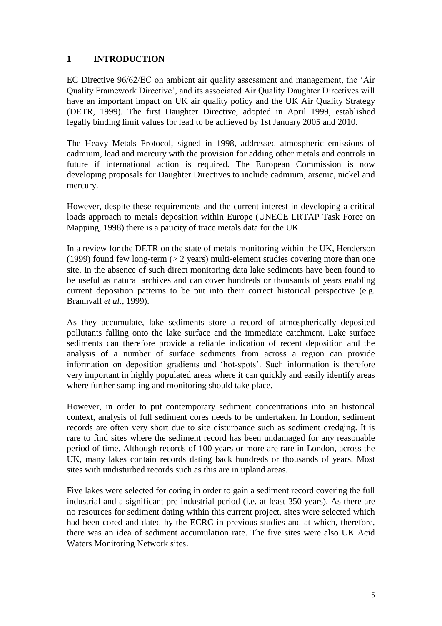# **1 INTRODUCTION**

EC Directive 96/62/EC on ambient air quality assessment and management, the 'Air Quality Framework Directive', and its associated Air Quality Daughter Directives will have an important impact on UK air quality policy and the UK Air Quality Strategy (DETR, 1999). The first Daughter Directive, adopted in April 1999, established legally binding limit values for lead to be achieved by 1st January 2005 and 2010.

The Heavy Metals Protocol, signed in 1998, addressed atmospheric emissions of cadmium, lead and mercury with the provision for adding other metals and controls in future if international action is required. The European Commission is now developing proposals for Daughter Directives to include cadmium, arsenic, nickel and mercury.

However, despite these requirements and the current interest in developing a critical loads approach to metals deposition within Europe (UNECE LRTAP Task Force on Mapping, 1998) there is a paucity of trace metals data for the UK.

In a review for the DETR on the state of metals monitoring within the UK, Henderson (1999) found few long-term  $(> 2 \text{ years})$  multi-element studies covering more than one site. In the absence of such direct monitoring data lake sediments have been found to be useful as natural archives and can cover hundreds or thousands of years enabling current deposition patterns to be put into their correct historical perspective (e.g. Brannvall *et al.*, 1999).

As they accumulate, lake sediments store a record of atmospherically deposited pollutants falling onto the lake surface and the immediate catchment. Lake surface sediments can therefore provide a reliable indication of recent deposition and the analysis of a number of surface sediments from across a region can provide information on deposition gradients and 'hot-spots'. Such information is therefore very important in highly populated areas where it can quickly and easily identify areas where further sampling and monitoring should take place.

However, in order to put contemporary sediment concentrations into an historical context, analysis of full sediment cores needs to be undertaken. In London, sediment records are often very short due to site disturbance such as sediment dredging. It is rare to find sites where the sediment record has been undamaged for any reasonable period of time. Although records of 100 years or more are rare in London, across the UK, many lakes contain records dating back hundreds or thousands of years. Most sites with undisturbed records such as this are in upland areas.

Five lakes were selected for coring in order to gain a sediment record covering the full industrial and a significant pre-industrial period (i.e. at least 350 years). As there are no resources for sediment dating within this current project, sites were selected which had been cored and dated by the ECRC in previous studies and at which, therefore, there was an idea of sediment accumulation rate. The five sites were also UK Acid Waters Monitoring Network sites.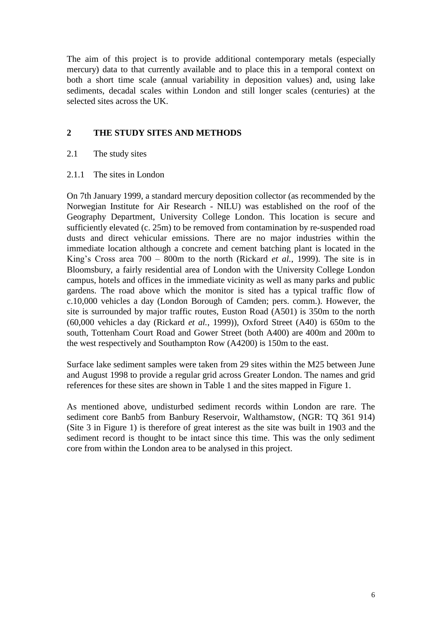The aim of this project is to provide additional contemporary metals (especially mercury) data to that currently available and to place this in a temporal context on both a short time scale (annual variability in deposition values) and, using lake sediments, decadal scales within London and still longer scales (centuries) at the selected sites across the UK.

# **2 THE STUDY SITES AND METHODS**

- 2.1 The study sites
- 2.1.1 The sites in London

On 7th January 1999, a standard mercury deposition collector (as recommended by the Norwegian Institute for Air Research - NILU) was established on the roof of the Geography Department, University College London. This location is secure and sufficiently elevated (c. 25m) to be removed from contamination by re-suspended road dusts and direct vehicular emissions. There are no major industries within the immediate location although a concrete and cement batching plant is located in the King's Cross area 700 – 800m to the north (Rickard *et al.*, 1999). The site is in Bloomsbury, a fairly residential area of London with the University College London campus, hotels and offices in the immediate vicinity as well as many parks and public gardens. The road above which the monitor is sited has a typical traffic flow of c.10,000 vehicles a day (London Borough of Camden; pers. comm.). However, the site is surrounded by major traffic routes, Euston Road (A501) is 350m to the north (60,000 vehicles a day (Rickard *et al.*, 1999)), Oxford Street (A40) is 650m to the south, Tottenham Court Road and Gower Street (both A400) are 400m and 200m to the west respectively and Southampton Row (A4200) is 150m to the east.

Surface lake sediment samples were taken from 29 sites within the M25 between June and August 1998 to provide a regular grid across Greater London. The names and grid references for these sites are shown in Table 1 and the sites mapped in Figure 1.

As mentioned above, undisturbed sediment records within London are rare. The sediment core Banb5 from Banbury Reservoir, Walthamstow, (NGR: TQ 361 914) (Site 3 in Figure 1) is therefore of great interest as the site was built in 1903 and the sediment record is thought to be intact since this time. This was the only sediment core from within the London area to be analysed in this project.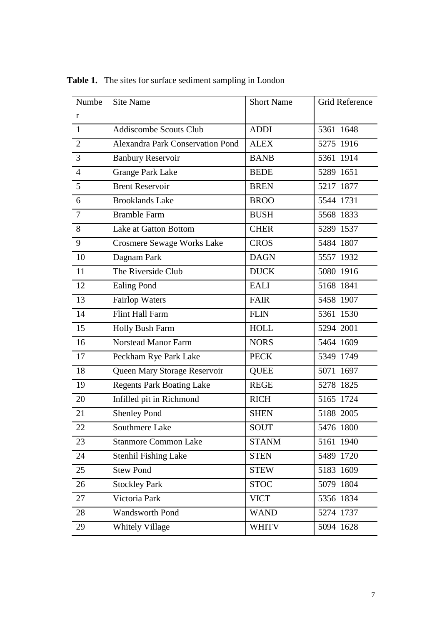| Numbe          | <b>Site Name</b>                  | <b>Short Name</b> | Grid Reference |
|----------------|-----------------------------------|-------------------|----------------|
| $\mathbf{r}$   |                                   |                   |                |
| $\mathbf{1}$   | <b>Addiscombe Scouts Club</b>     | <b>ADDI</b>       | 5361 1648      |
| $\overline{2}$ | Alexandra Park Conservation Pond  | <b>ALEX</b>       | 5275 1916      |
| 3              | <b>Banbury Reservoir</b>          | <b>BANB</b>       | 5361 1914      |
| $\overline{4}$ | <b>Grange Park Lake</b>           | <b>BEDE</b>       | 5289 1651      |
| 5              | <b>Brent Reservoir</b>            | <b>BREN</b>       | 5217 1877      |
| 6              | <b>Brooklands Lake</b>            | <b>BROO</b>       | 5544 1731      |
| $\overline{7}$ | <b>Bramble Farm</b>               | <b>BUSH</b>       | 5568 1833      |
| 8              | Lake at Gatton Bottom             | <b>CHER</b>       | 5289 1537      |
| 9              | <b>Crosmere Sewage Works Lake</b> | <b>CROS</b>       | 5484 1807      |
| 10             | Dagnam Park                       | <b>DAGN</b>       | 5557 1932      |
| 11             | The Riverside Club                | <b>DUCK</b>       | 5080 1916      |
| 12             | <b>Ealing Pond</b>                | <b>EALI</b>       | 5168 1841      |
| 13             | <b>Fairlop Waters</b>             | <b>FAIR</b>       | 5458 1907      |
| 14             | Flint Hall Farm                   | <b>FLIN</b>       | 5361 1530      |
| 15             | Holly Bush Farm                   | <b>HOLL</b>       | 5294 2001      |
| 16             | <b>Norstead Manor Farm</b>        | <b>NORS</b>       | 5464 1609      |
| 17             | Peckham Rye Park Lake             | <b>PECK</b>       | 5349 1749      |
| 18             | Queen Mary Storage Reservoir      | <b>QUEE</b>       | 5071 1697      |
| 19             | <b>Regents Park Boating Lake</b>  | <b>REGE</b>       | 5278 1825      |
| 20             | Infilled pit in Richmond          | <b>RICH</b>       | 5165 1724      |
| 21             | <b>Shenley Pond</b>               | <b>SHEN</b>       | 5188 2005      |
| 22             | Southmere Lake                    | SOUT              | 5476 1800      |
| 23             | <b>Stanmore Common Lake</b>       | <b>STANM</b>      | 5161 1940      |
| 24             | <b>Stenhil Fishing Lake</b>       | <b>STEN</b>       | 5489 1720      |
| 25             | <b>Stew Pond</b>                  | <b>STEW</b>       | 5183 1609      |
| 26             | <b>Stockley Park</b>              | <b>STOC</b>       | 5079 1804      |
| 27             | Victoria Park                     | <b>VICT</b>       | 5356 1834      |
| 28             | <b>Wandsworth Pond</b>            | <b>WAND</b>       | 5274 1737      |
| 29             | <b>Whitely Village</b>            | <b>WHITV</b>      | 5094 1628      |

**Table 1.** The sites for surface sediment sampling in London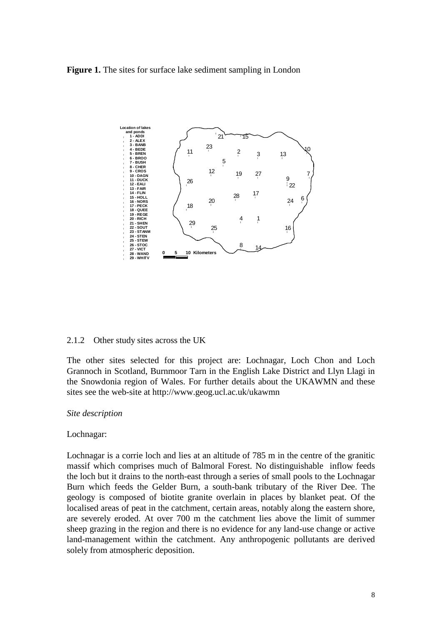**Figure 1.** The sites for surface lake sediment sampling in London



#### 2.1.2 Other study sites across the UK

The other sites selected for this project are: Lochnagar, Loch Chon and Loch Grannoch in Scotland, Burnmoor Tarn in the English Lake District and Llyn Llagi in the Snowdonia region of Wales. For further details about the UKAWMN and these sites see the web-site at http://www.geog.ucl.ac.uk/ukawmn

#### *Site description*

#### Lochnagar:

Lochnagar is a corrie loch and lies at an altitude of 785 m in the centre of the granitic massif which comprises much of Balmoral Forest. No distinguishable inflow feeds the loch but it drains to the north-east through a series of small pools to the Lochnagar Burn which feeds the Gelder Burn, a south-bank tributary of the River Dee. The geology is composed of biotite granite overlain in places by blanket peat. Of the localised areas of peat in the catchment, certain areas, notably along the eastern shore, are severely eroded. At over 700 m the catchment lies above the limit of summer sheep grazing in the region and there is no evidence for any land-use change or active land-management within the catchment. Any anthropogenic pollutants are derived solely from atmospheric deposition.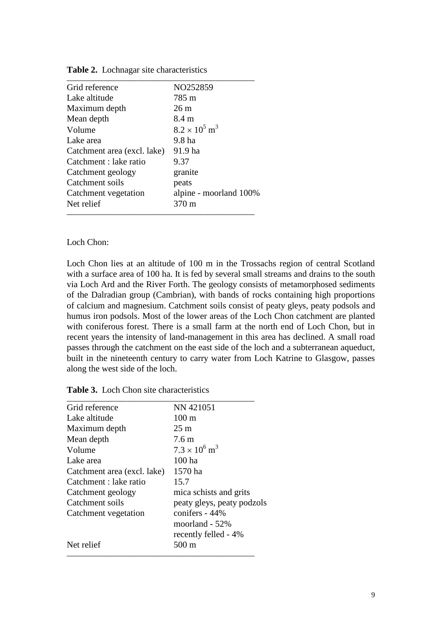| 785 m                            |
|----------------------------------|
| 26m                              |
| 8.4 m                            |
| $8.2 \times 10^5$ m <sup>3</sup> |
| 9.8 ha                           |
| 91.9 ha                          |
| 9.37                             |
| granite                          |
| peats                            |
| alpine - moorland 100%           |
| 370 m                            |
|                                  |

**Table 2.** Lochnagar site characteristics

#### Loch Chon:

Loch Chon lies at an altitude of 100 m in the Trossachs region of central Scotland with a surface area of 100 ha. It is fed by several small streams and drains to the south via Loch Ard and the River Forth. The geology consists of metamorphosed sediments of the Dalradian group (Cambrian), with bands of rocks containing high proportions of calcium and magnesium. Catchment soils consist of peaty gleys, peaty podsols and humus iron podsols. Most of the lower areas of the Loch Chon catchment are planted with coniferous forest. There is a small farm at the north end of Loch Chon, but in recent years the intensity of land-management in this area has declined. A small road passes through the catchment on the east side of the loch and a subterranean aqueduct, built in the nineteenth century to carry water from Loch Katrine to Glasgow, passes along the west side of the loch.

| Grid reference              | NN 421051                        |
|-----------------------------|----------------------------------|
| Lake altitude               | $100 \text{ m}$                  |
| Maximum depth               | $25 \text{ m}$                   |
| Mean depth                  | 7.6 <sub>m</sub>                 |
| Volume                      | $7.3 \times 10^6$ m <sup>3</sup> |
| Lake area                   | $100$ ha                         |
| Catchment area (excl. lake) | 1570 ha                          |
| Catchment : lake ratio      | 15.7                             |
| Catchment geology           | mica schists and grits           |
| Catchment soils             | peaty gleys, peaty podzols       |
| Catchment vegetation        | conifers - 44%                   |
|                             | moorland $-52\%$                 |
|                             | recently felled - 4%             |
| Net relief                  | $500 \text{ m}$                  |

|  |  | Table 3. Loch Chon site characteristics |
|--|--|-----------------------------------------|
|--|--|-----------------------------------------|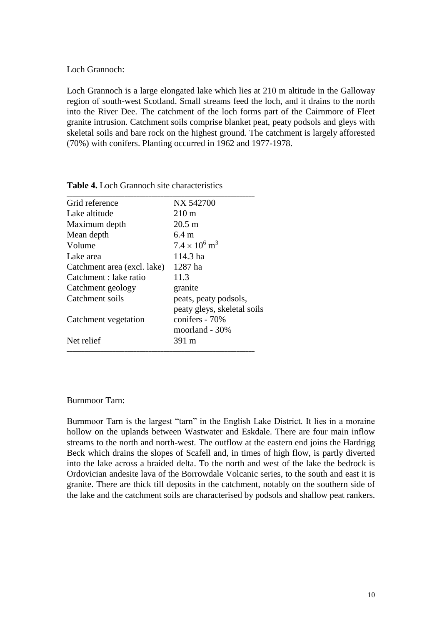Loch Grannoch:

Loch Grannoch is a large elongated lake which lies at 210 m altitude in the Galloway region of south-west Scotland. Small streams feed the loch, and it drains to the north into the River Dee. The catchment of the loch forms part of the Cairnmore of Fleet granite intrusion. Catchment soils comprise blanket peat, peaty podsols and gleys with skeletal soils and bare rock on the highest ground. The catchment is largely afforested (70%) with conifers. Planting occurred in 1962 and 1977-1978.

| Grid reference              | NX 542700                        |
|-----------------------------|----------------------------------|
| Lake altitude               | $210 \text{ m}$                  |
| Maximum depth               | $20.5 \text{ m}$                 |
| Mean depth                  | $6.4 \text{ m}$                  |
| Volume                      | $7.4 \times 10^6$ m <sup>3</sup> |
| Lake area                   | 114.3 ha                         |
| Catchment area (excl. lake) | 1287 ha                          |
| Catchment : lake ratio      | 11.3                             |
| Catchment geology           | granite                          |
| Catchment soils             | peats, peaty podsols,            |
|                             | peaty gleys, skeletal soils      |
| Catchment vegetation        | conifers - 70%                   |
|                             | moorland - 30%                   |
| Net relief                  | 391 m                            |

**Table 4.** Loch Grannoch site characteristics

#### Burnmoor Tarn:

Burnmoor Tarn is the largest "tarn" in the English Lake District. It lies in a moraine hollow on the uplands between Wastwater and Eskdale. There are four main inflow streams to the north and north-west. The outflow at the eastern end joins the Hardrigg Beck which drains the slopes of Scafell and, in times of high flow, is partly diverted into the lake across a braided delta. To the north and west of the lake the bedrock is Ordovician andesite lava of the Borrowdale Volcanic series, to the south and east it is granite. There are thick till deposits in the catchment, notably on the southern side of the lake and the catchment soils are characterised by podsols and shallow peat rankers.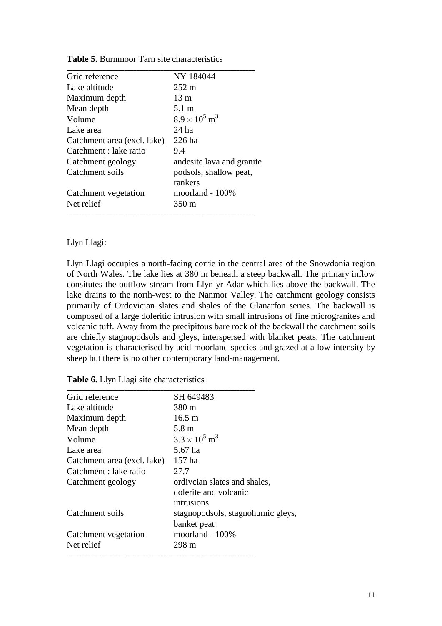| Grid reference              | NY 184044                        |
|-----------------------------|----------------------------------|
| Lake altitude               | $252 \text{ m}$                  |
| Maximum depth               | $13 \text{ m}$                   |
| Mean depth                  | 5.1 m                            |
| Volume                      | $8.9 \times 10^5$ m <sup>3</sup> |
| Lake area                   | 24 ha                            |
| Catchment area (excl. lake) | 226 ha                           |
| Catchment : lake ratio      | 9.4                              |
| Catchment geology           | andesite lava and granite        |
| Catchment soils             | podsols, shallow peat,           |
|                             | rankers                          |
| Catchment vegetation        | moorland - 100%                  |
| Net relief                  | $350 \text{ m}$                  |

**Table 5.** Burnmoor Tarn site characteristics

## Llyn Llagi:

Llyn Llagi occupies a north-facing corrie in the central area of the Snowdonia region of North Wales. The lake lies at 380 m beneath a steep backwall. The primary inflow consitutes the outflow stream from Llyn yr Adar which lies above the backwall. The lake drains to the north-west to the Nanmor Valley. The catchment geology consists primarily of Ordovician slates and shales of the Glanarfon series. The backwall is composed of a large doleritic intrusion with small intrusions of fine microgranites and volcanic tuff. Away from the precipitous bare rock of the backwall the catchment soils are chiefly stagnopodsols and gleys, interspersed with blanket peats. The catchment vegetation is characterised by acid moorland species and grazed at a low intensity by sheep but there is no other contemporary land-management.

| Table 6. Llyn Llagi site characteristics |  |  |  |
|------------------------------------------|--|--|--|
|------------------------------------------|--|--|--|

| Grid reference              | SH 649483                         |
|-----------------------------|-----------------------------------|
| Lake altitude               | 380 m                             |
| Maximum depth               | $16.5 \text{ m}$                  |
| Mean depth                  | 5.8 <sub>m</sub>                  |
| Volume                      | $3.3 \times 10^5$ m <sup>3</sup>  |
| Lake area                   | 5.67 ha                           |
| Catchment area (excl. lake) | 157 ha                            |
| Catchment : lake ratio      | 27.7                              |
| Catchment geology           | ordivcian slates and shales,      |
|                             | dolerite and volcanic             |
|                             | intrusions                        |
| Catchment soils             | stagnopodsols, stagnohumic gleys, |
|                             | banket peat                       |
| Catchment vegetation        | moorland - 100%                   |
| Net relief                  | 298 m                             |
|                             |                                   |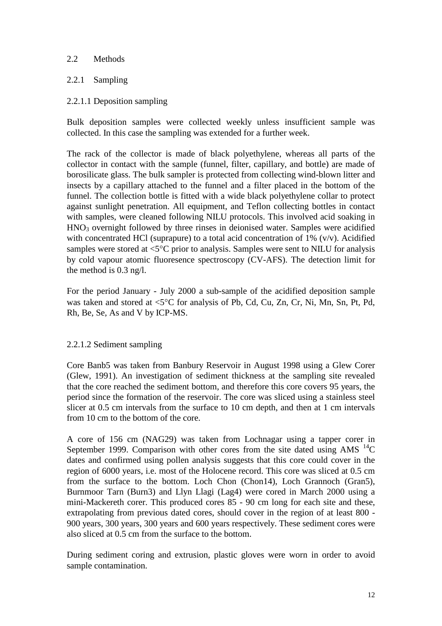## 2.2 Methods

# 2.2.1 Sampling

## 2.2.1.1 Deposition sampling

Bulk deposition samples were collected weekly unless insufficient sample was collected. In this case the sampling was extended for a further week.

The rack of the collector is made of black polyethylene, whereas all parts of the collector in contact with the sample (funnel, filter, capillary, and bottle) are made of borosilicate glass. The bulk sampler is protected from collecting wind-blown litter and insects by a capillary attached to the funnel and a filter placed in the bottom of the funnel. The collection bottle is fitted with a wide black polyethylene collar to protect against sunlight penetration. All equipment, and Teflon collecting bottles in contact with samples, were cleaned following NILU protocols. This involved acid soaking in  $HNO<sub>3</sub>$  overnight followed by three rinses in deionised water. Samples were acidified with concentrated HCl (suprapure) to a total acid concentration of  $1\%$  (v/v). Acidified samples were stored at  $\leq 5^{\circ}$ C prior to analysis. Samples were sent to NILU for analysis by cold vapour atomic fluoresence spectroscopy (CV-AFS). The detection limit for the method is 0.3 ng/l.

For the period January - July 2000 a sub-sample of the acidified deposition sample was taken and stored at  $\leq 5^{\circ}$ C for analysis of Pb, Cd, Cu, Zn, Cr, Ni, Mn, Sn, Pt, Pd, Rh, Be, Se, As and V by ICP-MS.

## 2.2.1.2 Sediment sampling

Core Banb5 was taken from Banbury Reservoir in August 1998 using a Glew Corer (Glew, 1991). An investigation of sediment thickness at the sampling site revealed that the core reached the sediment bottom, and therefore this core covers 95 years, the period since the formation of the reservoir. The core was sliced using a stainless steel slicer at 0.5 cm intervals from the surface to 10 cm depth, and then at 1 cm intervals from 10 cm to the bottom of the core.

A core of 156 cm (NAG29) was taken from Lochnagar using a tapper corer in September 1999. Comparison with other cores from the site dated using AMS  $^{14}$ C dates and confirmed using pollen analysis suggests that this core could cover in the region of 6000 years, i.e. most of the Holocene record. This core was sliced at 0.5 cm from the surface to the bottom. Loch Chon (Chon14), Loch Grannoch (Gran5), Burnmoor Tarn (Burn3) and Llyn Llagi (Lag4) were cored in March 2000 using a mini-Mackereth corer. This produced cores 85 - 90 cm long for each site and these, extrapolating from previous dated cores, should cover in the region of at least 800 - 900 years, 300 years, 300 years and 600 years respectively. These sediment cores were also sliced at 0.5 cm from the surface to the bottom.

During sediment coring and extrusion, plastic gloves were worn in order to avoid sample contamination.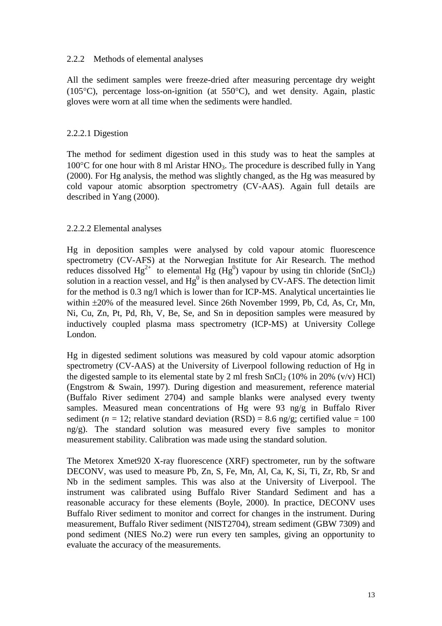## 2.2.2 Methods of elemental analyses

All the sediment samples were freeze-dried after measuring percentage dry weight (105 $^{\circ}$ C), percentage loss-on-ignition (at 550 $^{\circ}$ C), and wet density. Again, plastic gloves were worn at all time when the sediments were handled.

## 2.2.2.1 Digestion

The method for sediment digestion used in this study was to heat the samples at 100 $^{\circ}$ C for one hour with 8 ml Aristar HNO<sub>3</sub>. The procedure is described fully in Yang (2000). For Hg analysis, the method was slightly changed, as the Hg was measured by cold vapour atomic absorption spectrometry (CV-AAS). Again full details are described in Yang (2000).

## 2.2.2.2 Elemental analyses

Hg in deposition samples were analysed by cold vapour atomic fluorescence spectrometry (CV-AFS) at the Norwegian Institute for Air Research. The method reduces dissolved  $Hg^{2+}$  to elemental  $Hg$  ( $Hg^0$ ) vapour by using tin chloride (SnCl<sub>2</sub>) solution in a reaction vessel, and  $Hg^0$  is then analysed by CV-AFS. The detection limit for the method is 0.3 ng/l which is lower than for ICP-MS. Analytical uncertainties lie within  $\pm 20\%$  of the measured level. Since 26th November 1999, Pb, Cd, As, Cr, Mn, Ni, Cu, Zn, Pt, Pd, Rh, V, Be, Se, and Sn in deposition samples were measured by inductively coupled plasma mass spectrometry (ICP-MS) at University College London.

Hg in digested sediment solutions was measured by cold vapour atomic adsorption spectrometry (CV-AAS) at the University of Liverpool following reduction of Hg in the digested sample to its elemental state by 2 ml fresh  $SnCl<sub>2</sub>$  (10% in 20% (v/v) HCl) (Engstrom & Swain, 1997). During digestion and measurement, reference material (Buffalo River sediment 2704) and sample blanks were analysed every twenty samples. Measured mean concentrations of Hg were 93 ng/g in Buffalo River sediment ( $n = 12$ ; relative standard deviation (RSD) = 8.6 ng/g; certified value = 100 ng/g). The standard solution was measured every five samples to monitor measurement stability. Calibration was made using the standard solution.

The Metorex Xmet920 X-ray fluorescence (XRF) spectrometer, run by the software DECONV, was used to measure Pb, Zn, S, Fe, Mn, Al, Ca, K, Si, Ti, Zr, Rb, Sr and Nb in the sediment samples. This was also at the University of Liverpool. The instrument was calibrated using Buffalo River Standard Sediment and has a reasonable accuracy for these elements (Boyle, 2000). In practice, DECONV uses Buffalo River sediment to monitor and correct for changes in the instrument. During measurement, Buffalo River sediment (NIST2704), stream sediment (GBW 7309) and pond sediment (NIES No.2) were run every ten samples, giving an opportunity to evaluate the accuracy of the measurements.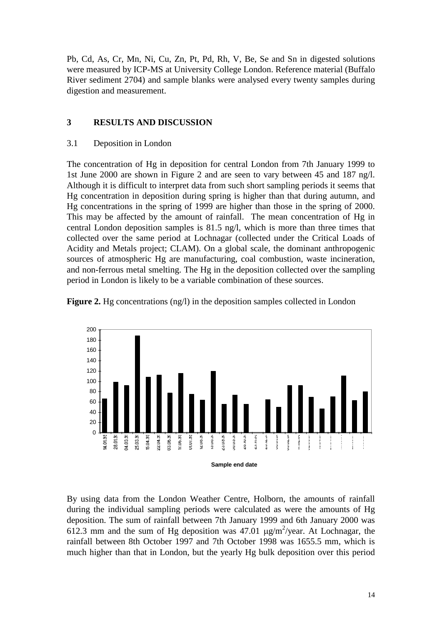Pb, Cd, As, Cr, Mn, Ni, Cu, Zn, Pt, Pd, Rh, V, Be, Se and Sn in digested solutions were measured by ICP-MS at University College London. Reference material (Buffalo River sediment 2704) and sample blanks were analysed every twenty samples during digestion and measurement.

# **3 RESULTS AND DISCUSSION**

## 3.1 Deposition in London

The concentration of Hg in deposition for central London from 7th January 1999 to 1st June 2000 are shown in Figure 2 and are seen to vary between 45 and 187 ng/l. Although it is difficult to interpret data from such short sampling periods it seems that Hg concentration in deposition during spring is higher than that during autumn, and Hg concentrations in the spring of 1999 are higher than those in the spring of 2000. This may be affected by the amount of rainfall. The mean concentration of Hg in central London deposition samples is 81.5 ng/l, which is more than three times that collected over the same period at Lochnagar (collected under the Critical Loads of Acidity and Metals project; CLAM). On a global scale, the dominant anthropogenic sources of atmospheric Hg are manufacturing, coal combustion, waste incineration, and non-ferrous metal smelting. The Hg in the deposition collected over the sampling period in London is likely to be a variable combination of these sources.





By using data from the London Weather Centre, Holborn, the amounts of rainfall during the individual sampling periods were calculated as were the amounts of Hg deposition. The sum of rainfall between 7th January 1999 and 6th January 2000 was 612.3 mm and the sum of Hg deposition was 47.01  $\mu$ g/m<sup>2</sup>/year. At Lochnagar, the rainfall between 8th October 1997 and 7th October 1998 was 1655.5 mm, which is much higher than that in London, but the yearly Hg bulk deposition over this period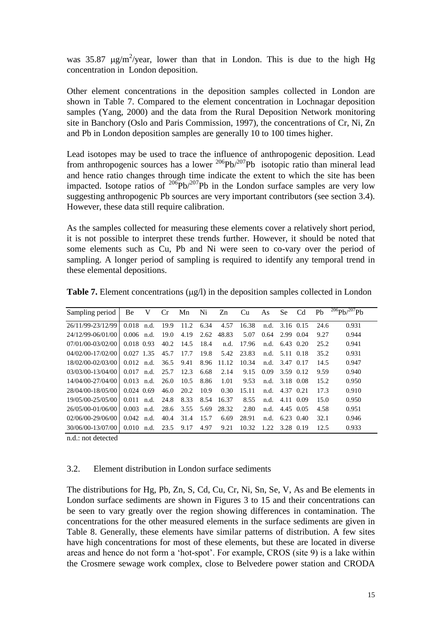was 35.87  $\mu$ g/m<sup>2</sup>/year, lower than that in London. This is due to the high Hg concentration in London deposition.

Other element concentrations in the deposition samples collected in London are shown in Table 7. Compared to the element concentration in Lochnagar deposition samples (Yang, 2000) and the data from the Rural Deposition Network monitoring site in Banchory (Oslo and Paris Commission, 1997), the concentrations of Cr, Ni, Zn and Pb in London deposition samples are generally 10 to 100 times higher.

Lead isotopes may be used to trace the influence of anthropogenic deposition. Lead from anthropogenic sources has a lower  $^{206}Pb/^{207}Pb$  isotopic ratio than mineral lead and hence ratio changes through time indicate the extent to which the site has been impacted. Isotope ratios of  $206Pb/207Pb$  in the London surface samples are very low suggesting anthropogenic Pb sources are very important contributors (see section 3.4). However, these data still require calibration.

As the samples collected for measuring these elements cover a relatively short period, it is not possible to interpret these trends further. However, it should be noted that some elements such as Cu, Pb and Ni were seen to co-vary over the period of sampling. A longer period of sampling is required to identify any temporal trend in these elemental depositions.

| Sampling period       | Be           | V    | Cr   | Mn   | Ni   | Zn    | Cu    | As   | Se.              | Cd | Ph   | $^{206}Pb/^{207}Pb$ |
|-----------------------|--------------|------|------|------|------|-------|-------|------|------------------|----|------|---------------------|
| 26/11/99-23/12/99     | 0.018        | n.d. | 19.9 | 11.2 | 6.34 | 4.57  | 16.38 | n.d. | 3.16 0.15        |    | 24.6 | 0.931               |
| 24/12/99-06/01/00     | $0.006$ n.d. |      | 19.0 | 4.19 | 2.62 | 48.83 | 5.07  | 0.64 | 2.99 0.04        |    | 9.27 | 0.944               |
| 07/01/00-03/02/00     | 0.018 0.93   |      | 40.2 | 14.5 | 18.4 | n.d.  | 17.96 | n.d. | 6.43 0.20        |    | 25.2 | 0.941               |
| $04/02/00 - 17/02/00$ | $0.027$ 1.35 |      | 45.7 | 17.7 | 19.8 | 5.42  | 23.83 |      | n.d. $5.11$ 0.18 |    | 35.2 | 0.931               |
| 18/02/00-02/03/00     | 0.012        | n.d. | 36.5 | 9.41 | 8.96 | 11.12 | 10.34 | n.d. | 3.47 0.17        |    | 14.5 | 0.947               |
| 03/03/00-13/04/00     | 0.017        | n.d. | 25.7 | 12.3 | 6.68 | 2.14  | 9.15  | 0.09 | 3.59 0.12        |    | 9.59 | 0.940               |
| 14/04/00-27/04/00     | $0.013$ n.d. |      | 26.0 | 10.5 | 8.86 | 1.01  | 9.53  | n.d. | 3.18 0.08        |    | 15.2 | 0.950               |
| 28/04/00-18/05/00     | $0.024$ 0.69 |      | 46.0 | 20.2 | 10.9 | 0.30  | 15.11 | n.d. | 4.37 0.21        |    | 17.3 | 0.910               |
| 19/05/00-25/05/00     | $0.011$ n.d. |      | 24.8 | 8.33 | 8.54 | 16.37 | 8.55  | n.d. | 4.11 0.09        |    | 15.0 | 0.950               |
| 26/05/00-01/06/00     | 0.003        | n.d. | 28.6 | 3.55 | 5.69 | 28.32 | 2.80  | n.d. | 4.45 0.05        |    | 4.58 | 0.951               |
| $02/06/00-29/06/00$   | 0.042        | n.d. | 40.4 | 31.4 | 15.7 | 6.69  | 28.91 | n.d. | 6.23 0.40        |    | 32.1 | 0.946               |
| 30/06/00-13/07/00     | 0.010        | n.d. | 23.5 | 9.17 | 4.97 | 9.21  | 10.32 | 1.22 | 3.28 0.19        |    | 12.5 | 0.933               |

**Table 7.** Element concentrations  $(\mu g/l)$  in the deposition samples collected in London

n.d.: not detected

## 3.2. Element distribution in London surface sediments

The distributions for Hg, Pb, Zn, S, Cd, Cu, Cr, Ni, Sn, Se, V, As and Be elements in London surface sediments are shown in Figures 3 to 15 and their concentrations can be seen to vary greatly over the region showing differences in contamination. The concentrations for the other measured elements in the surface sediments are given in Table 8. Generally, these elements have similar patterns of distribution. A few sites have high concentrations for most of these elements, but these are located in diverse areas and hence do not form a 'hot-spot'. For example, CROS (site 9) is a lake within the Crosmere sewage work complex, close to Belvedere power station and CRODA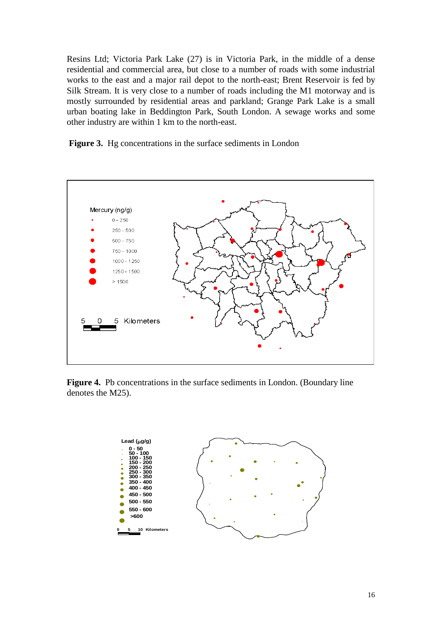Resins Ltd; Victoria Park Lake (27) is in Victoria Park, in the middle of a dense residential and commercial area, but close to a number of roads with some industrial works to the east and a major rail depot to the north-east; Brent Reservoir is fed by Silk Stream. It is very close to a number of roads including the M1 motorway and is mostly surrounded by residential areas and parkland; Grange Park Lake is a small urban boating lake in Beddington Park, South London. A sewage works and some other industry are within 1 km to the north-east.

**Figure 3.** Hg concentrations in the surface sediments in London



**Figure 4.** Pb concentrations in the surface sediments in London. (Boundary line denotes the M25).

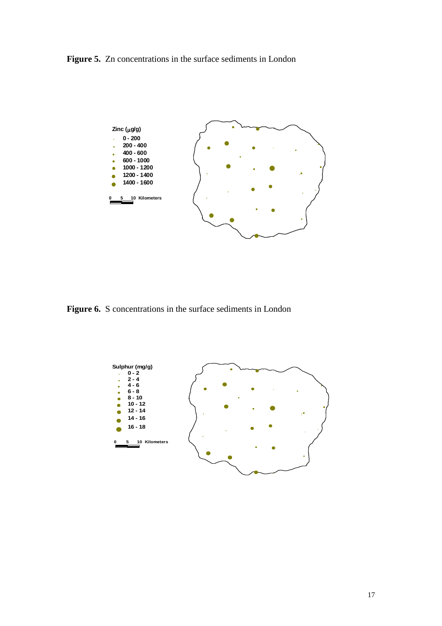**Figure 5.** Zn concentrations in the surface sediments in London



**Figure 6.** S concentrations in the surface sediments in London

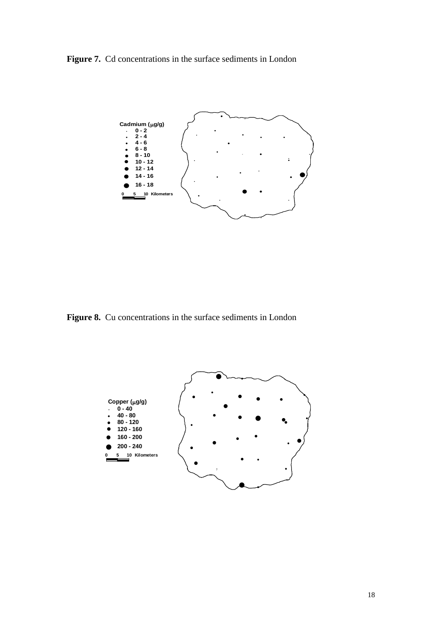Figure 7. Cd concentrations in the surface sediments in London



Figure 8. Cu concentrations in the surface sediments in London

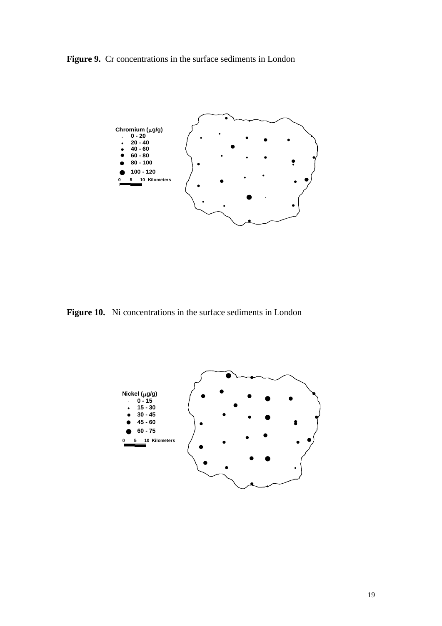Figure 9. Cr concentrations in the surface sediments in London



**Figure 10.** Ni concentrations in the surface sediments in London

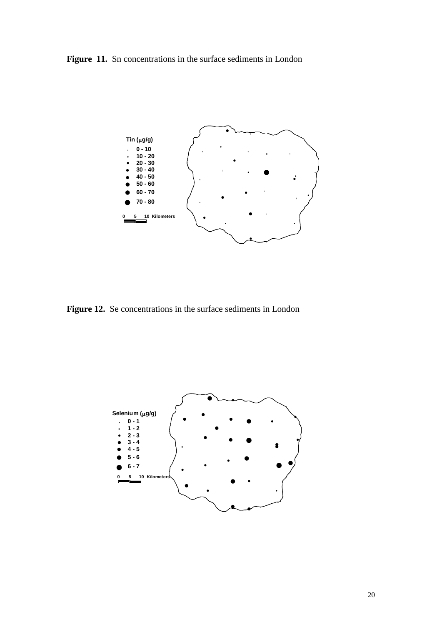Figure 11. Sn concentrations in the surface sediments in London



**Figure 12.** Se concentrations in the surface sediments in London

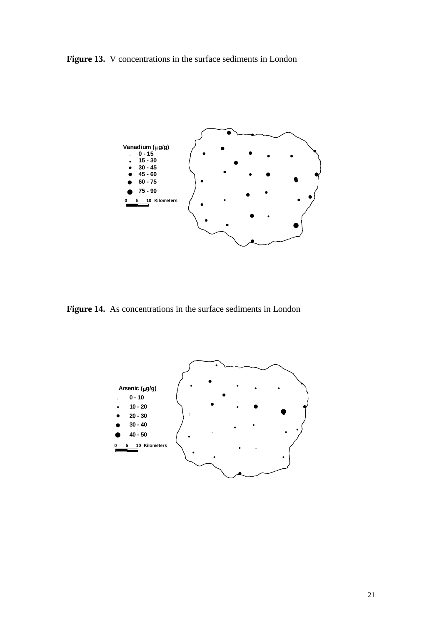**Figure 13.** V concentrations in the surface sediments in London



**Figure 14.** As concentrations in the surface sediments in London

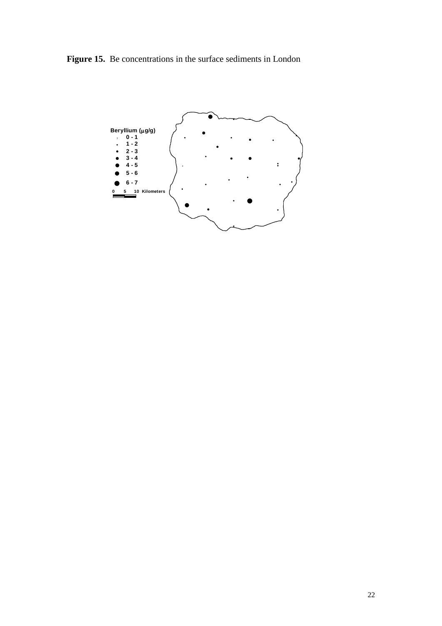**Figure 15.** Be concentrations in the surface sediments in London

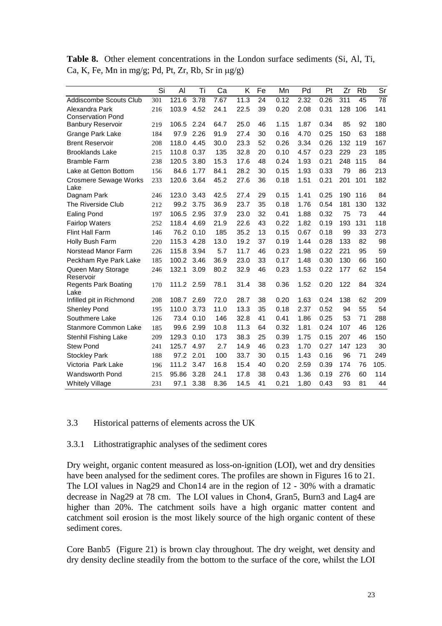|                                      | Si  | Al         | Τi   | Ca   | K    | Fe | Mn   | Pd   | Pt   | Zr  | Rb  | Sr   |
|--------------------------------------|-----|------------|------|------|------|----|------|------|------|-----|-----|------|
| Addiscombe Scouts Club               | 301 | 121.6      | 3.78 | 7.67 | 11.3 | 24 | 0.12 | 2.32 | 0.26 | 311 | 45  | 78   |
| Alexandra Park                       | 216 | 103.9      | 4.52 | 24.1 | 22.5 | 39 | 0.20 | 2.08 | 0.31 | 128 | 106 | 141  |
| <b>Conservation Pond</b>             |     |            |      |      |      |    |      |      |      |     |     |      |
| <b>Banbury Reservoir</b>             | 219 | 106.5      | 2.24 | 64.7 | 25.0 | 46 | 1.15 | 1.87 | 0.34 | 85  | 92  | 180  |
| Grange Park Lake                     | 184 | 97.9       | 2.26 | 91.9 | 27.4 | 30 | 0.16 | 4.70 | 0.25 | 150 | 63  | 188  |
| <b>Brent Reservoir</b>               | 208 | 118.0      | 4.45 | 30.0 | 23.3 | 52 | 0.26 | 3.34 | 0.26 | 132 | 119 | 167  |
| <b>Brooklands Lake</b>               | 215 | 110.8      | 0.37 | 135  | 32.8 | 20 | 0.10 | 4.57 | 0.23 | 229 | 23  | 185  |
| <b>Bramble Farm</b>                  | 238 | 120.5      | 3.80 | 15.3 | 17.6 | 48 | 0.24 | 1.93 | 0.21 | 248 | 115 | 84   |
| Lake at Getton Bottom                | 156 | 84.6       | 1.77 | 84.1 | 28.2 | 30 | 0.15 | 1.93 | 0.33 | 79  | 86  | 213  |
| <b>Crosmere Sewage Works</b><br>Lake | 233 | 120.6      | 3.64 | 45.2 | 27.6 | 36 | 0.18 | 1.51 | 0.21 | 201 | 101 | 182  |
| Dagnam Park                          | 246 | 123.0      | 3.43 | 42.5 | 27.4 | 29 | 0.15 | 1.41 | 0.25 | 190 | 116 | 84   |
| The Riverside Club                   | 212 | 99.2       | 3.75 | 36.9 | 23.7 | 35 | 0.18 | 1.76 | 0.54 | 181 | 130 | 132  |
| <b>Ealing Pond</b>                   | 197 | 106.5      | 2.95 | 37.9 | 23.0 | 32 | 0.41 | 1.88 | 0.32 | 75  | 73  | 44   |
| <b>Fairlop Waters</b>                | 252 | 118.4      | 4.69 | 21.9 | 22.6 | 43 | 0.22 | 1.82 | 0.19 | 193 | 131 | 118  |
| Flint Hall Farm                      | 146 | 76.2       | 0.10 | 185  | 35.2 | 13 | 0.15 | 0.67 | 0.18 | 99  | 33  | 273  |
| Holly Bush Farm                      | 220 | 115.3      | 4.28 | 13.0 | 19.2 | 37 | 0.19 | 1.44 | 0.28 | 133 | 82  | 98   |
| Norstead Manor Farm                  | 226 | 115.8      | 3.94 | 5.7  | 11.7 | 46 | 0.23 | 1.98 | 0.22 | 221 | 95  | 59   |
| Peckham Rye Park Lake                | 185 | 100.2      | 3.46 | 36.9 | 23.0 | 33 | 0.17 | 1.48 | 0.30 | 130 | 66  | 160  |
| Queen Mary Storage<br>Reservoir      | 246 | 132.1      | 3.09 | 80.2 | 32.9 | 46 | 0.23 | 1.53 | 0.22 | 177 | 62  | 154  |
| <b>Regents Park Boating</b><br>Lake  | 170 | 111.2 2.59 |      | 78.1 | 31.4 | 38 | 0.36 | 1.52 | 0.20 | 122 | 84  | 324  |
| Infilled pit in Richmond             | 208 | 108.7      | 2.69 | 72.0 | 28.7 | 38 | 0.20 | 1.63 | 0.24 | 138 | 62  | 209  |
| <b>Shenley Pond</b>                  | 195 | 110.0      | 3.73 | 11.0 | 13.3 | 35 | 0.18 | 2.37 | 0.52 | 94  | 55  | 54   |
| Southmere Lake                       | 126 | 73.4       | 0.10 | 146  | 32.8 | 41 | 0.41 | 1.86 | 0.25 | 53  | 71  | 288  |
| Stanmore Common Lake                 | 185 | 99.6       | 2.99 | 10.8 | 11.3 | 64 | 0.32 | 1.81 | 0.24 | 107 | 46  | 126  |
| Stenhil Fishing Lake                 | 209 | 129.3      | 0.10 | 173  | 38.3 | 25 | 0.39 | 1.75 | 0.15 | 207 | 46  | 150  |
| <b>Stew Pond</b>                     | 241 | 125.7      | 4.97 | 2.7  | 14.9 | 46 | 0.23 | 1.70 | 0.27 | 147 | 123 | 30   |
| <b>Stockley Park</b>                 | 188 | 97.2       | 2.01 | 100  | 33.7 | 30 | 0.15 | 1.43 | 0.16 | 96  | 71  | 249  |
| Victoria Park Lake                   | 196 | 111.2      | 3.47 | 16.8 | 15.4 | 40 | 0.20 | 2.59 | 0.39 | 174 | 76  | 105. |
| <b>Wandsworth Pond</b>               | 215 | 95.86      | 3.28 | 24.1 | 17.8 | 38 | 0.43 | 1.36 | 0.19 | 276 | 60  | 114  |
| <b>Whitely Village</b>               | 231 | 97.1       | 3.38 | 8.36 | 14.5 | 41 | 0.21 | 1.80 | 0.43 | 93  | 81  | 44   |

**Table 8.** Other element concentrations in the London surface sediments (Si, Al, Ti, Ca, K, Fe, Mn in mg/g; Pd, Pt, Zr, Rb, Sr in  $\mu$ g/g)

## 3.3 Historical patterns of elements across the UK

3.3.1 Lithostratigraphic analyses of the sediment cores

Dry weight, organic content measured as loss-on-ignition (LOI), wet and dry densities have been analysed for the sediment cores. The profiles are shown in Figures 16 to 21. The LOI values in Nag29 and Chon14 are in the region of 12 - 30% with a dramatic decrease in Nag29 at 78 cm. The LOI values in Chon4, Gran5, Burn3 and Lag4 are higher than 20%. The catchment soils have a high organic matter content and catchment soil erosion is the most likely source of the high organic content of these sediment cores.

Core Banb5 (Figure 21) is brown clay throughout. The dry weight, wet density and dry density decline steadily from the bottom to the surface of the core, whilst the LOI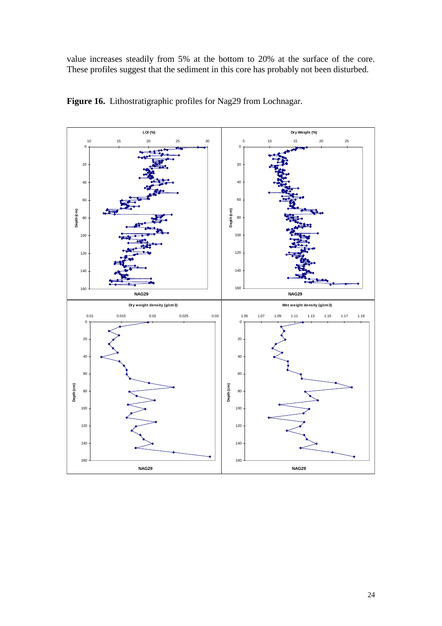value increases steadily from 5% at the bottom to 20% at the surface of the core. These profiles suggest that the sediment in this core has probably not been disturbed.



**Figure 16.** Lithostratigraphic profiles for Nag29 from Lochnagar.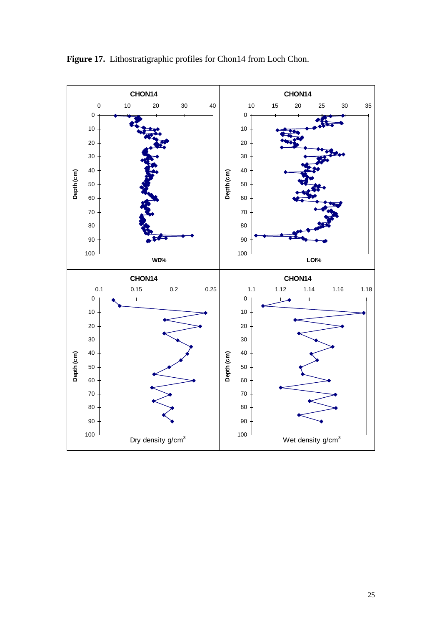

Figure 17. Lithostratigraphic profiles for Chon14 from Loch Chon.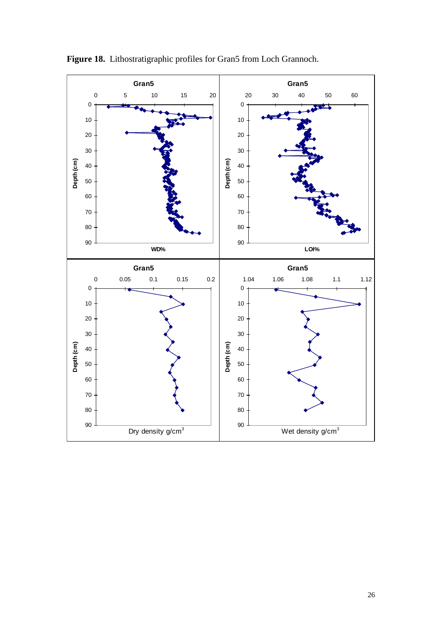

Figure 18. Lithostratigraphic profiles for Gran5 from Loch Grannoch.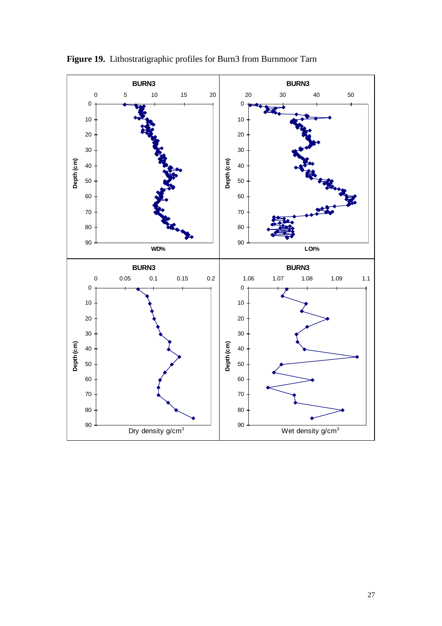

Figure 19. Lithostratigraphic profiles for Burn3 from Burnmoor Tarn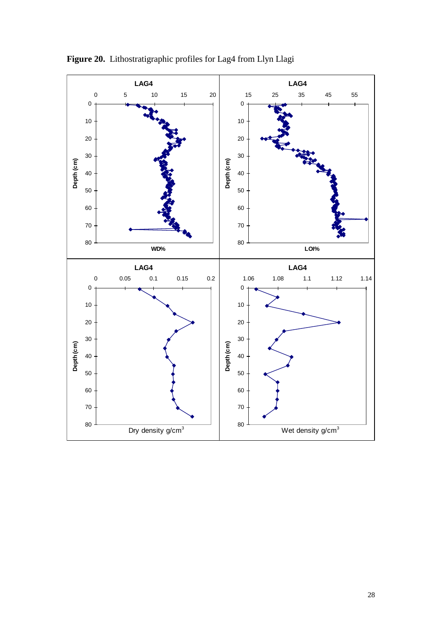

Figure 20. Lithostratigraphic profiles for Lag4 from Llyn Llagi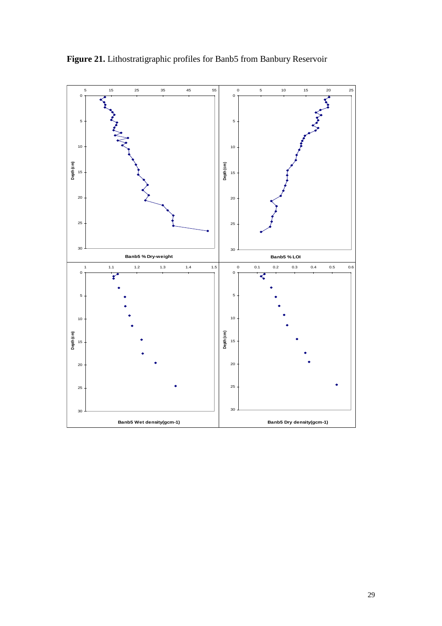

Figure 21. Lithostratigraphic profiles for Banb5 from Banbury Reservoir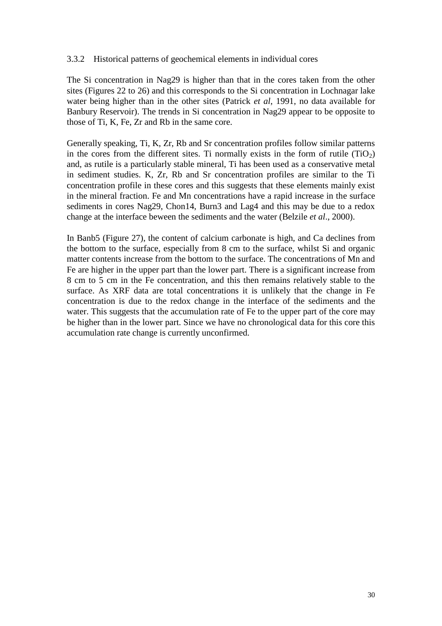## 3.3.2 Historical patterns of geochemical elements in individual cores

The Si concentration in Nag29 is higher than that in the cores taken from the other sites (Figures 22 to 26) and this corresponds to the Si concentration in Lochnagar lake water being higher than in the other sites (Patrick *et al*, 1991, no data available for Banbury Reservoir). The trends in Si concentration in Nag29 appear to be opposite to those of Ti, K, Fe, Zr and Rb in the same core.

Generally speaking, Ti, K, Zr, Rb and Sr concentration profiles follow similar patterns in the cores from the different sites. Ti normally exists in the form of rutile  $(TiO<sub>2</sub>)$ and, as rutile is a particularly stable mineral, Ti has been used as a conservative metal in sediment studies. K, Zr, Rb and Sr concentration profiles are similar to the Ti concentration profile in these cores and this suggests that these elements mainly exist in the mineral fraction. Fe and Mn concentrations have a rapid increase in the surface sediments in cores Nag29, Chon14, Burn3 and Lag4 and this may be due to a redox change at the interface beween the sediments and the water (Belzile *et al*., 2000).

In Banb5 (Figure 27), the content of calcium carbonate is high, and Ca declines from the bottom to the surface, especially from 8 cm to the surface, whilst Si and organic matter contents increase from the bottom to the surface. The concentrations of Mn and Fe are higher in the upper part than the lower part. There is a significant increase from 8 cm to 5 cm in the Fe concentration, and this then remains relatively stable to the surface. As XRF data are total concentrations it is unlikely that the change in Fe concentration is due to the redox change in the interface of the sediments and the water. This suggests that the accumulation rate of Fe to the upper part of the core may be higher than in the lower part. Since we have no chronological data for this core this accumulation rate change is currently unconfirmed.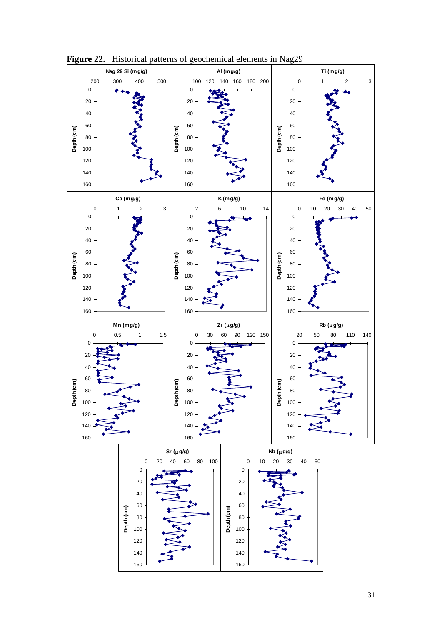

**Figure 22.** Historical patterns of geochemical elements in Nag29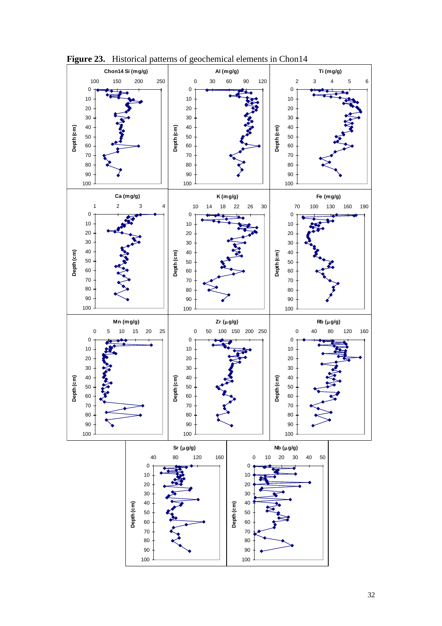

Figure 23. Historical patterns of geochemical elements in Chon14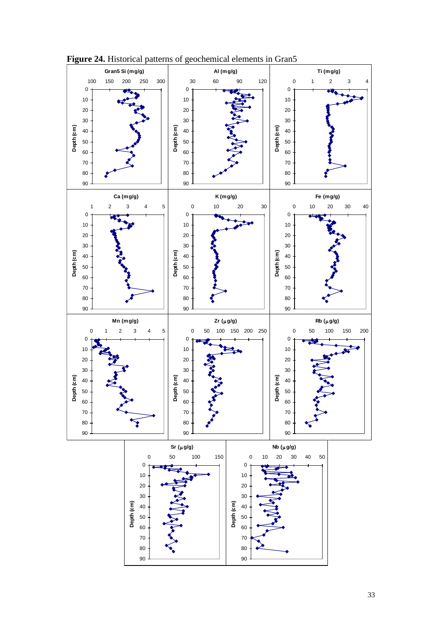

**Figure 24.** Historical patterns of geochemical elements in Gran5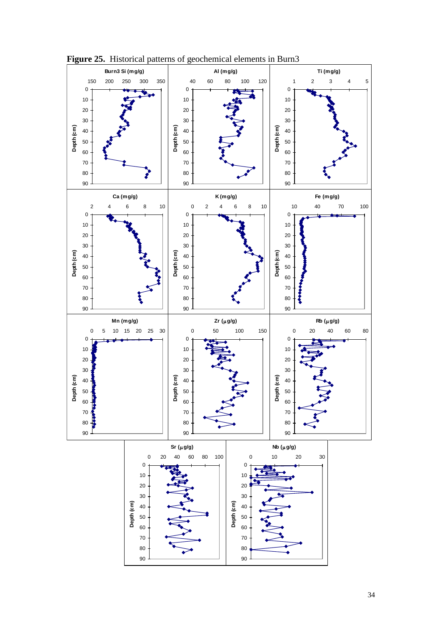

**Figure 25.** Historical patterns of geochemical elements in Burn3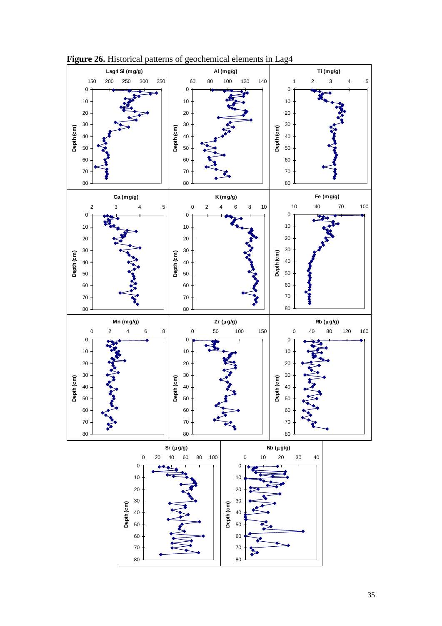

**Figure 26.** Historical patterns of geochemical elements in Lag4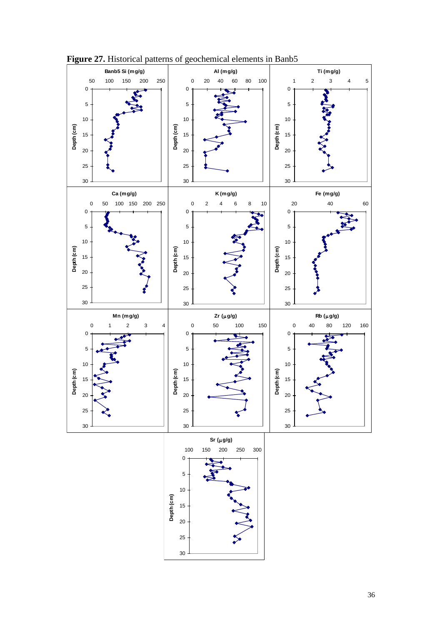

**Figure 27.** Historical patterns of geochemical elements in Banb5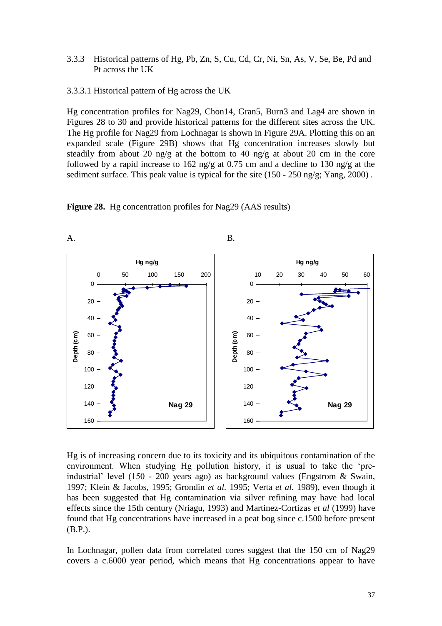3.3.3 Historical patterns of Hg, Pb, Zn, S, Cu, Cd, Cr, Ni, Sn, As, V, Se, Be, Pd and Pt across the UK

3.3.3.1 Historical pattern of Hg across the UK

Hg concentration profiles for Nag29, Chon14, Gran5, Burn3 and Lag4 are shown in Figures 28 to 30 and provide historical patterns for the different sites across the UK. The Hg profile for Nag29 from Lochnagar is shown in Figure 29A. Plotting this on an expanded scale (Figure 29B) shows that Hg concentration increases slowly but steadily from about 20 ng/g at the bottom to 40 ng/g at about 20 cm in the core followed by a rapid increase to 162 ng/g at 0.75 cm and a decline to 130 ng/g at the sediment surface. This peak value is typical for the site (150 - 250 ng/g; Yang, 2000) .

**Figure 28.** Hg concentration profiles for Nag29 (AAS results)



Hg is of increasing concern due to its toxicity and its ubiquitous contamination of the environment. When studying Hg pollution history, it is usual to take the 'preindustrial' level (150 - 200 years ago) as background values (Engstrom & Swain, 1997; Klein & Jacobs, 1995; Grondin *et al.* 1995; Verta *et al.* 1989), even though it has been suggested that Hg contamination via silver refining may have had local effects since the 15th century (Nriagu, 1993) and Martinez-Cortizas *et al* (1999) have found that Hg concentrations have increased in a peat bog since c.1500 before present (B.P.).

In Lochnagar, pollen data from correlated cores suggest that the 150 cm of Nag29 covers a c.6000 year period, which means that Hg concentrations appear to have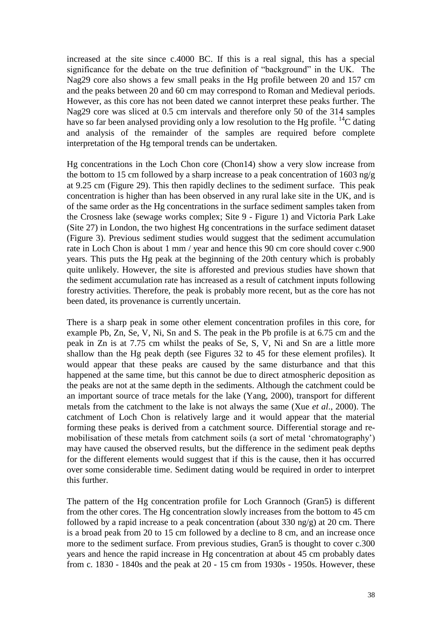increased at the site since c.4000 BC. If this is a real signal, this has a special significance for the debate on the true definition of "background" in the UK. The Nag29 core also shows a few small peaks in the Hg profile between 20 and 157 cm and the peaks between 20 and 60 cm may correspond to Roman and Medieval periods. However, as this core has not been dated we cannot interpret these peaks further. The Nag29 core was sliced at 0.5 cm intervals and therefore only 50 of the 314 samples have so far been analysed providing only a low resolution to the Hg profile. <sup>14</sup>C dating and analysis of the remainder of the samples are required before complete interpretation of the Hg temporal trends can be undertaken.

Hg concentrations in the Loch Chon core (Chon14) show a very slow increase from the bottom to 15 cm followed by a sharp increase to a peak concentration of 1603 ng/g at 9.25 cm (Figure 29). This then rapidly declines to the sediment surface. This peak concentration is higher than has been observed in any rural lake site in the UK, and is of the same order as the Hg concentrations in the surface sediment samples taken from the Crosness lake (sewage works complex; Site 9 - Figure 1) and Victoria Park Lake (Site 27) in London, the two highest Hg concentrations in the surface sediment dataset (Figure 3). Previous sediment studies would suggest that the sediment accumulation rate in Loch Chon is about 1 mm / year and hence this 90 cm core should cover c.900 years. This puts the Hg peak at the beginning of the 20th century which is probably quite unlikely. However, the site is afforested and previous studies have shown that the sediment accumulation rate has increased as a result of catchment inputs following forestry activities. Therefore, the peak is probably more recent, but as the core has not been dated, its provenance is currently uncertain.

There is a sharp peak in some other element concentration profiles in this core, for example Pb, Zn, Se, V, Ni, Sn and S. The peak in the Pb profile is at 6.75 cm and the peak in Zn is at 7.75 cm whilst the peaks of Se, S, V, Ni and Sn are a little more shallow than the Hg peak depth (see Figures 32 to 45 for these element profiles). It would appear that these peaks are caused by the same disturbance and that this happened at the same time, but this cannot be due to direct atmospheric deposition as the peaks are not at the same depth in the sediments. Although the catchment could be an important source of trace metals for the lake (Yang, 2000), transport for different metals from the catchment to the lake is not always the same (Xue *et al*., 2000). The catchment of Loch Chon is relatively large and it would appear that the material forming these peaks is derived from a catchment source. Differential storage and remobilisation of these metals from catchment soils (a sort of metal 'chromatography') may have caused the observed results, but the difference in the sediment peak depths for the different elements would suggest that if this is the cause, then it has occurred over some considerable time. Sediment dating would be required in order to interpret this further.

The pattern of the Hg concentration profile for Loch Grannoch (Gran5) is different from the other cores. The Hg concentration slowly increases from the bottom to 45 cm followed by a rapid increase to a peak concentration (about 330 ng/g) at 20 cm. There is a broad peak from 20 to 15 cm followed by a decline to 8 cm, and an increase once more to the sediment surface. From previous studies, Gran5 is thought to cover c.300 years and hence the rapid increase in Hg concentration at about 45 cm probably dates from c. 1830 - 1840s and the peak at 20 - 15 cm from 1930s - 1950s. However, these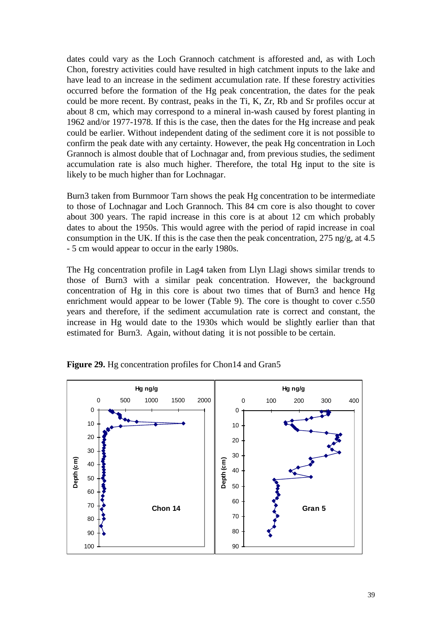dates could vary as the Loch Grannoch catchment is afforested and, as with Loch Chon, forestry activities could have resulted in high catchment inputs to the lake and have lead to an increase in the sediment accumulation rate. If these forestry activities occurred before the formation of the Hg peak concentration, the dates for the peak could be more recent. By contrast, peaks in the Ti, K, Zr, Rb and Sr profiles occur at about 8 cm, which may correspond to a mineral in-wash caused by forest planting in 1962 and/or 1977-1978. If this is the case, then the dates for the Hg increase and peak could be earlier. Without independent dating of the sediment core it is not possible to confirm the peak date with any certainty. However, the peak Hg concentration in Loch Grannoch is almost double that of Lochnagar and, from previous studies, the sediment accumulation rate is also much higher. Therefore, the total Hg input to the site is likely to be much higher than for Lochnagar.

Burn3 taken from Burnmoor Tarn shows the peak Hg concentration to be intermediate to those of Lochnagar and Loch Grannoch. This 84 cm core is also thought to cover about 300 years. The rapid increase in this core is at about 12 cm which probably dates to about the 1950s. This would agree with the period of rapid increase in coal consumption in the UK. If this is the case then the peak concentration, 275 ng/g, at 4.5 - 5 cm would appear to occur in the early 1980s.

The Hg concentration profile in Lag4 taken from Llyn Llagi shows similar trends to those of Burn3 with a similar peak concentration. However, the background concentration of Hg in this core is about two times that of Burn3 and hence Hg enrichment would appear to be lower (Table 9). The core is thought to cover c.550 years and therefore, if the sediment accumulation rate is correct and constant, the increase in Hg would date to the 1930s which would be slightly earlier than that estimated for Burn3. Again, without dating it is not possible to be certain.



Figure 29. Hg concentration profiles for Chon14 and Gran5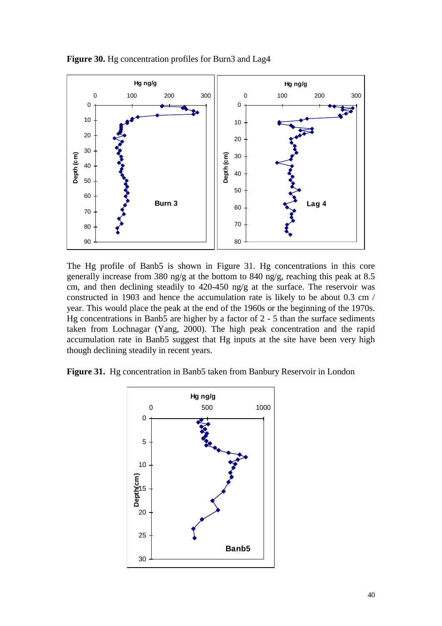

**Figure 30.** Hg concentration profiles for Burn3 and Lag4

The Hg profile of Banb5 is shown in Figure 31. Hg concentrations in this core generally increase from 380 ng/g at the bottom to 840 ng/g, reaching this peak at 8.5 cm, and then declining steadily to 420-450 ng/g at the surface. The reservoir was constructed in 1903 and hence the accumulation rate is likely to be about 0.3 cm / year. This would place the peak at the end of the 1960s or the beginning of the 1970s. Hg concentrations in Banb5 are higher by a factor of 2 - 5 than the surface sediments taken from Lochnagar (Yang, 2000). The high peak concentration and the rapid accumulation rate in Banb5 suggest that Hg inputs at the site have been very high though declining steadily in recent years.

Figure 31. Hg concentration in Banb5 taken from Banbury Reservoir in London

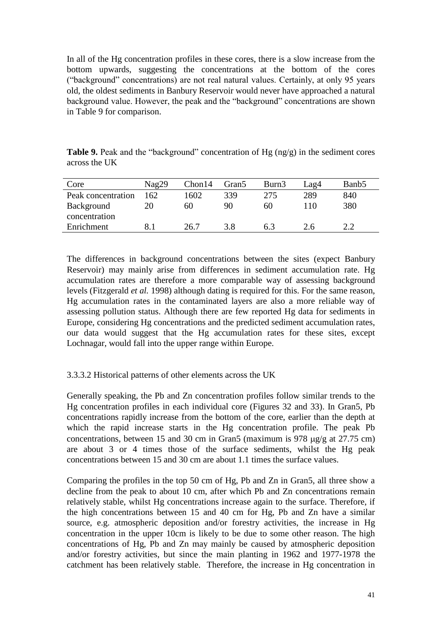In all of the Hg concentration profiles in these cores, there is a slow increase from the bottom upwards, suggesting the concentrations at the bottom of the cores ("background" concentrations) are not real natural values. Certainly, at only 95 years old, the oldest sediments in Banbury Reservoir would never have approached a natural background value. However, the peak and the "background" concentrations are shown in Table 9 for comparison.

**Table 9.** Peak and the "background" concentration of Hg (ng/g) in the sediment cores across the UK

| Core               | Nag29 | Chon14 | Gran <sub>5</sub> | Burn3 | Lag4 | Banb <sub>5</sub> |
|--------------------|-------|--------|-------------------|-------|------|-------------------|
| Peak concentration | 162   | 1602   | 339               | 275   | 289  | 840               |
| Background         | 20    | 60     | 90                | 60    | 110  | 380               |
| concentration      |       |        |                   |       |      |                   |
| Enrichment         |       | 26.7   | 3.8               | 6.3   | 2.6  |                   |

The differences in background concentrations between the sites (expect Banbury Reservoir) may mainly arise from differences in sediment accumulation rate. Hg accumulation rates are therefore a more comparable way of assessing background levels (Fitzgerald *et al.* 1998) although dating is required for this. For the same reason, Hg accumulation rates in the contaminated layers are also a more reliable way of assessing pollution status. Although there are few reported Hg data for sediments in Europe, considering Hg concentrations and the predicted sediment accumulation rates, our data would suggest that the Hg accumulation rates for these sites, except Lochnagar, would fall into the upper range within Europe.

## 3.3.3.2 Historical patterns of other elements across the UK

Generally speaking, the Pb and Zn concentration profiles follow similar trends to the Hg concentration profiles in each individual core (Figures 32 and 33). In Gran5, Pb concentrations rapidly increase from the bottom of the core, earlier than the depth at which the rapid increase starts in the Hg concentration profile. The peak Pb concentrations, between 15 and 30 cm in Gran5 (maximum is 978  $\mu$ g/g at 27.75 cm) are about 3 or 4 times those of the surface sediments, whilst the Hg peak concentrations between 15 and 30 cm are about 1.1 times the surface values.

Comparing the profiles in the top 50 cm of Hg, Pb and Zn in Gran5, all three show a decline from the peak to about 10 cm, after which Pb and Zn concentrations remain relatively stable, whilst Hg concentrations increase again to the surface. Therefore, if the high concentrations between 15 and 40 cm for Hg, Pb and Zn have a similar source, e.g. atmospheric deposition and/or forestry activities, the increase in Hg concentration in the upper 10cm is likely to be due to some other reason. The high concentrations of Hg, Pb and Zn may mainly be caused by atmospheric deposition and/or forestry activities, but since the main planting in 1962 and 1977-1978 the catchment has been relatively stable. Therefore, the increase in Hg concentration in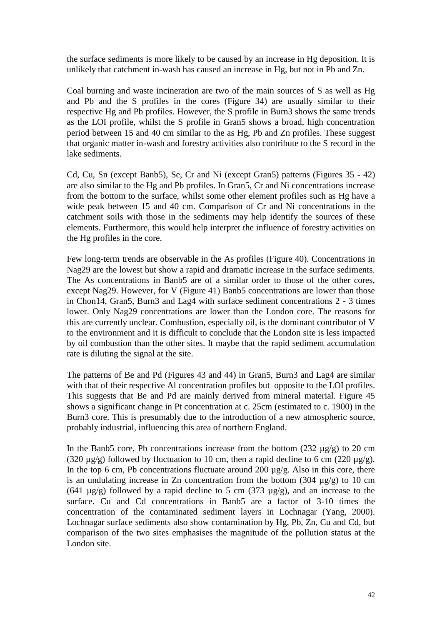the surface sediments is more likely to be caused by an increase in Hg deposition. It is unlikely that catchment in-wash has caused an increase in Hg, but not in Pb and Zn.

Coal burning and waste incineration are two of the main sources of S as well as Hg and Pb and the S profiles in the cores (Figure 34) are usually similar to their respective Hg and Pb profiles. However, the S profile in Burn3 shows the same trends as the LOI profile, whilst the S profile in Gran5 shows a broad, high concentration period between 15 and 40 cm similar to the as Hg, Pb and Zn profiles. These suggest that organic matter in-wash and forestry activities also contribute to the S record in the lake sediments.

Cd, Cu, Sn (except Banb5), Se, Cr and Ni (except Gran5) patterns (Figures 35 - 42) are also similar to the Hg and Pb profiles. In Gran5, Cr and Ni concentrations increase from the bottom to the surface, whilst some other element profiles such as Hg have a wide peak between 15 and 40 cm. Comparison of Cr and Ni concentrations in the catchment soils with those in the sediments may help identify the sources of these elements. Furthermore, this would help interpret the influence of forestry activities on the Hg profiles in the core.

Few long-term trends are observable in the As profiles (Figure 40). Concentrations in Nag29 are the lowest but show a rapid and dramatic increase in the surface sediments. The As concentrations in Banb5 are of a similar order to those of the other cores, except Nag29. However, for V (Figure 41) Banb5 concentrations are lower than those in Chon14, Gran5, Burn3 and Lag4 with surface sediment concentrations 2 - 3 times lower. Only Nag29 concentrations are lower than the London core. The reasons for this are currently unclear. Combustion, especially oil, is the dominant contributor of V to the environment and it is difficult to conclude that the London site is less impacted by oil combustion than the other sites. It maybe that the rapid sediment accumulation rate is diluting the signal at the site.

The patterns of Be and Pd (Figures 43 and 44) in Gran5, Burn3 and Lag4 are similar with that of their respective Al concentration profiles but opposite to the LOI profiles. This suggests that Be and Pd are mainly derived from mineral material. Figure 45 shows a significant change in Pt concentration at c. 25cm (estimated to c. 1900) in the Burn3 core. This is presumably due to the introduction of a new atmospheric source, probably industrial, influencing this area of northern England.

In the Banb5 core, Pb concentrations increase from the bottom (232  $\mu$ g/g) to 20 cm (320  $\mu$ g/g) followed by fluctuation to 10 cm, then a rapid decline to 6 cm (220  $\mu$ g/g). In the top 6 cm, Pb concentrations fluctuate around 200  $\mu$ g/g. Also in this core, there is an undulating increase in Zn concentration from the bottom  $(304 \mu g/g)$  to 10 cm (641  $\mu$ g/g) followed by a rapid decline to 5 cm (373  $\mu$ g/g), and an increase to the surface. Cu and Cd concentrations in Banb5 are a factor of 3-10 times the concentration of the contaminated sediment layers in Lochnagar (Yang, 2000). Lochnagar surface sediments also show contamination by Hg, Pb, Zn, Cu and Cd, but comparison of the two sites emphasises the magnitude of the pollution status at the London site.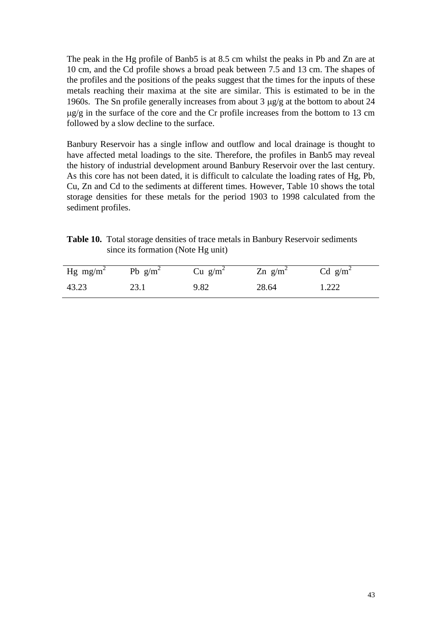The peak in the Hg profile of Banb5 is at 8.5 cm whilst the peaks in Pb and Zn are at 10 cm, and the Cd profile shows a broad peak between 7.5 and 13 cm. The shapes of the profiles and the positions of the peaks suggest that the times for the inputs of these metals reaching their maxima at the site are similar. This is estimated to be in the 1960s. The Sn profile generally increases from about  $3 \mu g/g$  at the bottom to about  $24$  $\mu$ g/g in the surface of the core and the Cr profile increases from the bottom to 13 cm followed by a slow decline to the surface.

Banbury Reservoir has a single inflow and outflow and local drainage is thought to have affected metal loadings to the site. Therefore, the profiles in Banb5 may reveal the history of industrial development around Banbury Reservoir over the last century. As this core has not been dated, it is difficult to calculate the loading rates of Hg, Pb, Cu, Zn and Cd to the sediments at different times. However, Table 10 shows the total storage densities for these metals for the period 1903 to 1998 calculated from the sediment profiles.

**Table 10.** Total storage densities of trace metals in Banbury Reservoir sediments since its formation (Note Hg unit)

| Hg mg/m <sup>2</sup> | Pb $g/m^2$ | $Cu$ g/m <sup>2</sup> | $Zn$ g/m <sup>2</sup> | Cd $g/m^2$ |
|----------------------|------------|-----------------------|-----------------------|------------|
| 43.23                |            | 9.82                  | 28.64                 | 1.222      |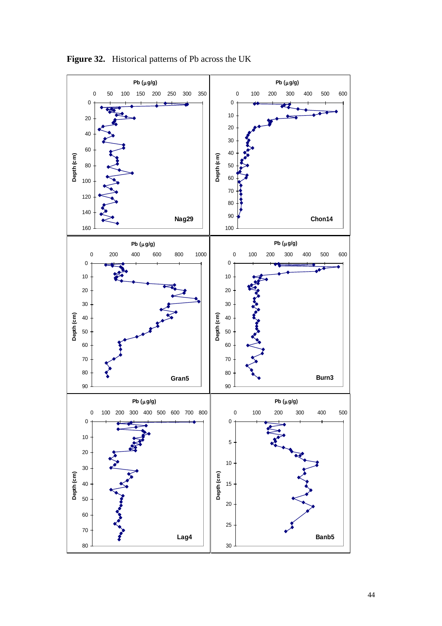

**Figure 32.** Historical patterns of Pb across the UK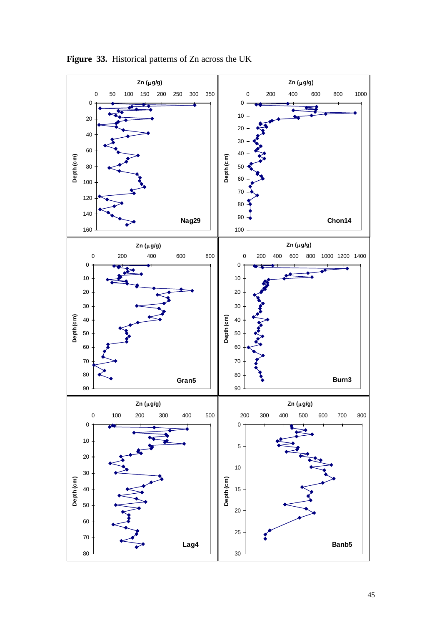

**Figure 33.** Historical patterns of Zn across the UK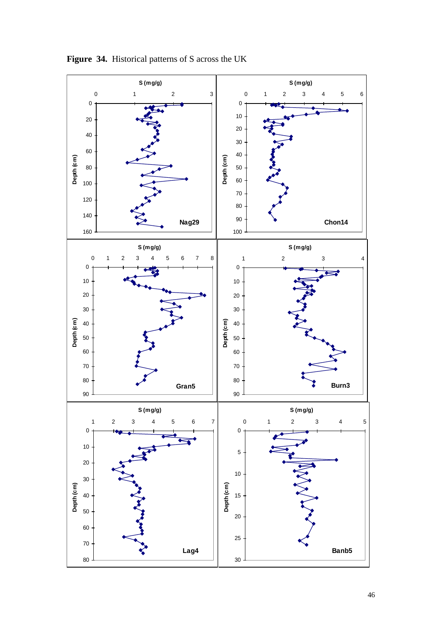![](_page_45_Figure_0.jpeg)

![](_page_45_Figure_1.jpeg)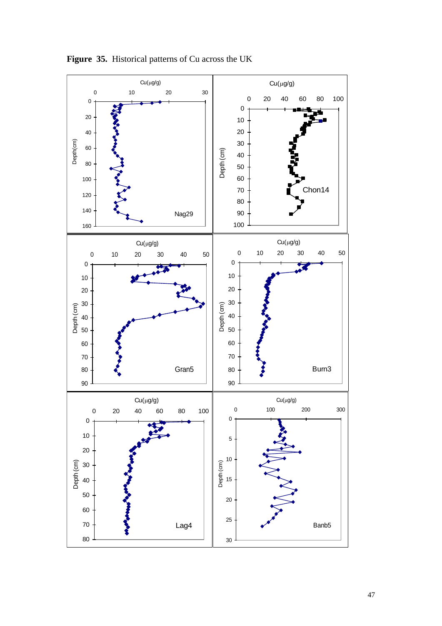![](_page_46_Figure_0.jpeg)

**Figure 35.** Historical patterns of Cu across the UK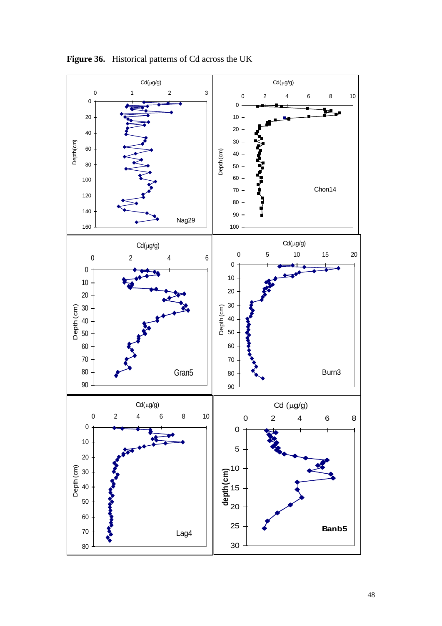![](_page_47_Figure_0.jpeg)

**Figure 36.** Historical patterns of Cd across the UK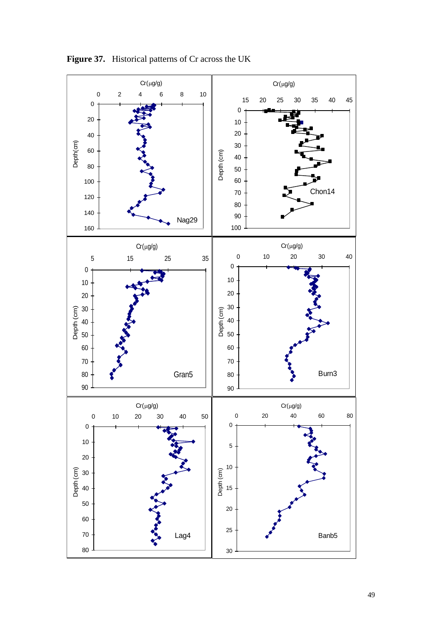![](_page_48_Figure_0.jpeg)

**Figure 37.** Historical patterns of Cr across the UK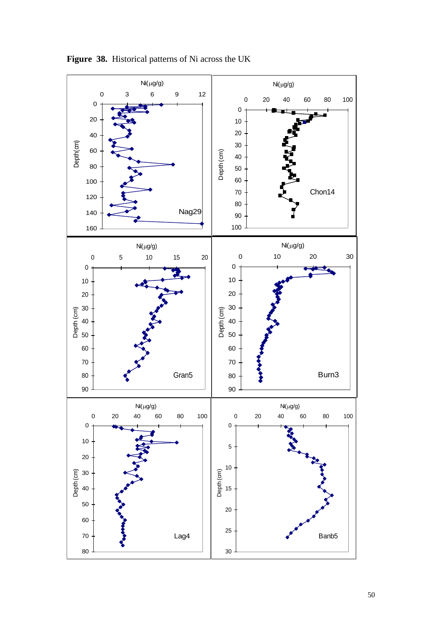![](_page_49_Figure_0.jpeg)

**Figure 38.** Historical patterns of Ni across the UK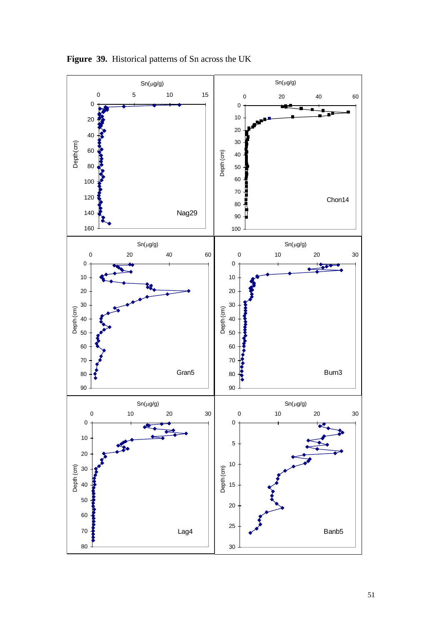![](_page_50_Figure_0.jpeg)

**Figure 39.** Historical patterns of Sn across the UK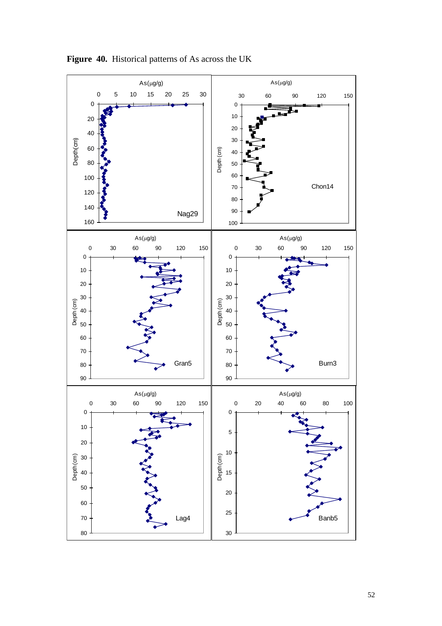![](_page_51_Figure_0.jpeg)

**Figure 40.** Historical patterns of As across the UK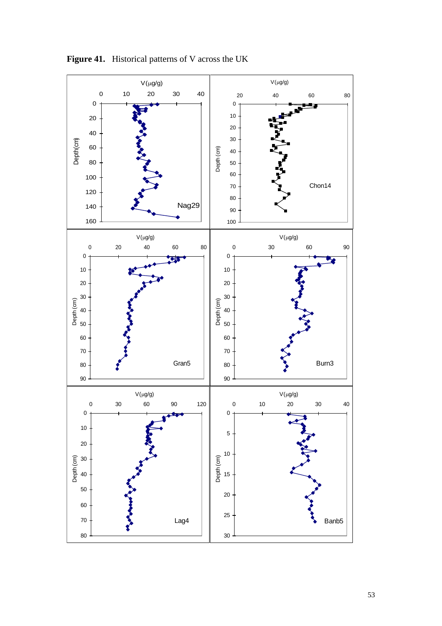![](_page_52_Figure_0.jpeg)

**Figure 41.** Historical patterns of V across the UK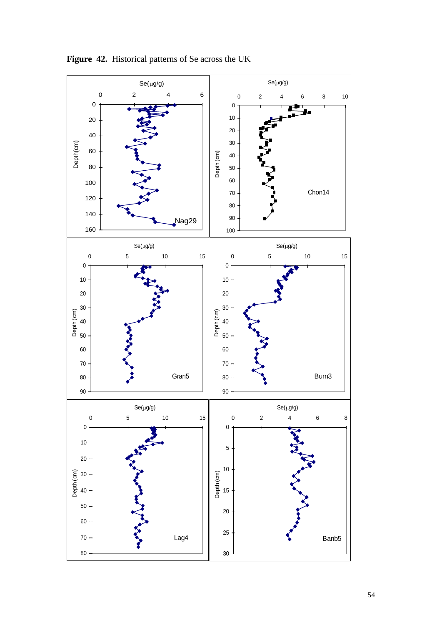![](_page_53_Figure_0.jpeg)

**Figure 42.** Historical patterns of Se across the UK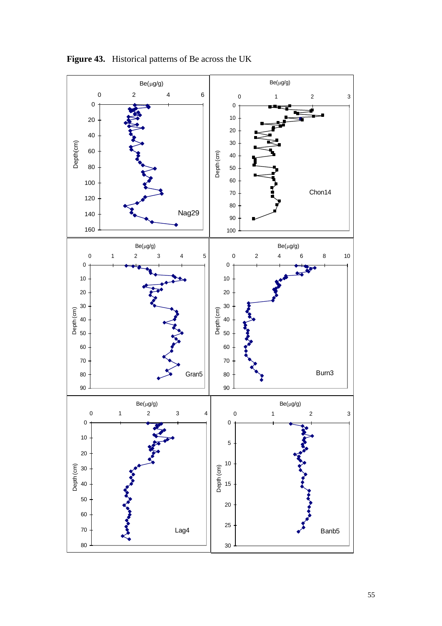![](_page_54_Figure_0.jpeg)

**Figure 43.** Historical patterns of Be across the UK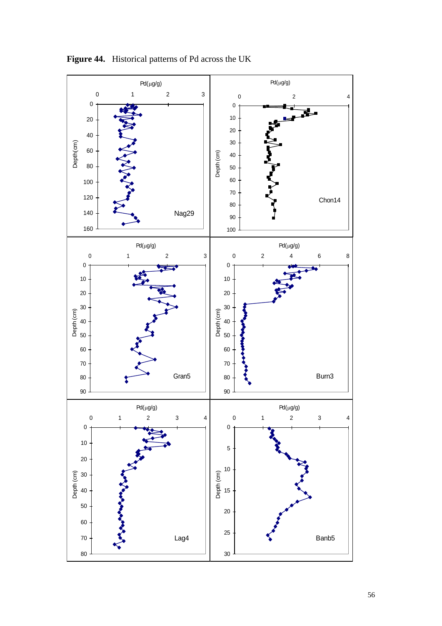![](_page_55_Figure_0.jpeg)

**Figure 44.** Historical patterns of Pd across the UK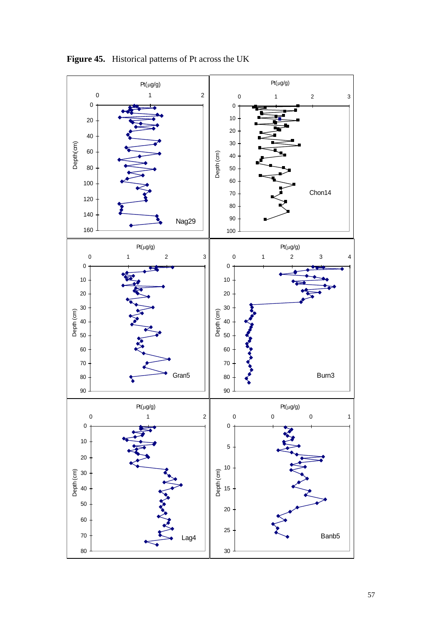![](_page_56_Figure_0.jpeg)

**Figure 45.** Historical patterns of Pt across the UK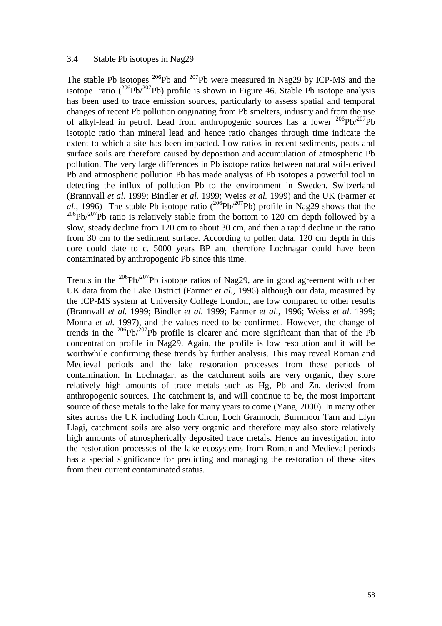#### 3.4 Stable Pb isotopes in Nag29

The stable Pb isotopes  $^{206}$ Pb and  $^{207}$ Pb were measured in Nag29 by ICP-MS and the isotope ratio  $(^{206}Pb)^{207}Pb$ ) profile is shown in Figure 46. Stable Pb isotope analysis has been used to trace emission sources, particularly to assess spatial and temporal changes of recent Pb pollution originating from Pb smelters, industry and from the use of alkyl-lead in petrol. Lead from anthropogenic sources has a lower  $^{206}Pb/^{207}Pb$ isotopic ratio than mineral lead and hence ratio changes through time indicate the extent to which a site has been impacted. Low ratios in recent sediments, peats and surface soils are therefore caused by deposition and accumulation of atmospheric Pb pollution. The very large differences in Pb isotope ratios between natural soil-derived Pb and atmospheric pollution Pb has made analysis of Pb isotopes a powerful tool in detecting the influx of pollution Pb to the environment in Sweden, Switzerland (Brannvall *et al.* 1999; Bindler *et al.* 1999; Weiss *et al.* 1999) and the UK (Farmer *et al*., 1996) The stable Pb isotope ratio  $({}^{206}Pb/{}^{207}Pb)$  profile in Nag29 shows that the  $^{206}Pb/^{207}Pb$  ratio is relatively stable from the bottom to 120 cm depth followed by a slow, steady decline from 120 cm to about 30 cm, and then a rapid decline in the ratio from 30 cm to the sediment surface. According to pollen data, 120 cm depth in this core could date to c. 5000 years BP and therefore Lochnagar could have been contaminated by anthropogenic Pb since this time.

Trends in the  $^{206}Pb^{207}Pb$  isotope ratios of Nag29, are in good agreement with other UK data from the Lake District (Farmer *et al.,* 1996) although our data, measured by the ICP-MS system at University College London, are low compared to other results (Brannvall *et al.* 1999; Bindler *et al.* 1999; Farmer *et al*., 1996; Weiss *et al.* 1999; Monna *et al.* 1997), and the values need to be confirmed. However, the change of trends in the  $206Pb/207Pb$  profile is clearer and more significant than that of the Pb concentration profile in Nag29. Again, the profile is low resolution and it will be worthwhile confirming these trends by further analysis. This may reveal Roman and Medieval periods and the lake restoration processes from these periods of contamination. In Lochnagar, as the catchment soils are very organic, they store relatively high amounts of trace metals such as Hg, Pb and Zn, derived from anthropogenic sources. The catchment is, and will continue to be, the most important source of these metals to the lake for many years to come (Yang, 2000). In many other sites across the UK including Loch Chon, Loch Grannoch, Burnmoor Tarn and Llyn Llagi, catchment soils are also very organic and therefore may also store relatively high amounts of atmospherically deposited trace metals. Hence an investigation into the restoration processes of the lake ecosystems from Roman and Medieval periods has a special significance for predicting and managing the restoration of these sites from their current contaminated status.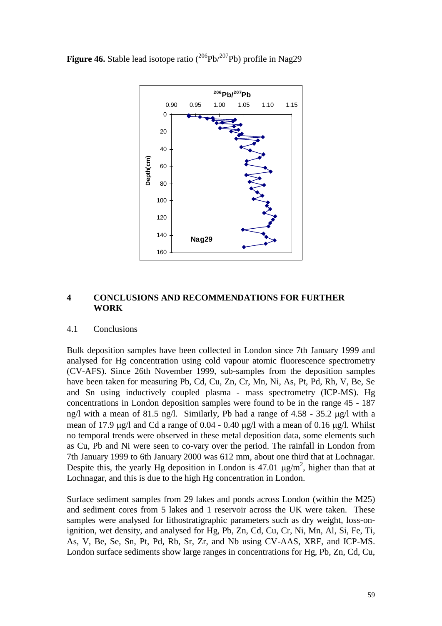**Figure 46.** Stable lead isotope ratio  $(^{206}Pb)^{207}Pb$ ) profile in Nag29

![](_page_58_Figure_1.jpeg)

# **4 CONCLUSIONS AND RECOMMENDATIONS FOR FURTHER WORK**

## 4.1 Conclusions

Bulk deposition samples have been collected in London since 7th January 1999 and analysed for Hg concentration using cold vapour atomic fluorescence spectrometry (CV-AFS). Since 26th November 1999, sub-samples from the deposition samples have been taken for measuring Pb, Cd, Cu, Zn, Cr, Mn, Ni, As, Pt, Pd, Rh, V, Be, Se and Sn using inductively coupled plasma - mass spectrometry (ICP-MS). Hg concentrations in London deposition samples were found to be in the range 45 - 187 ng/l with a mean of 81.5 ng/l. Similarly, Pb had a range of  $4.58 - 35.2 \mu g/l$  with a mean of 17.9  $\mu$ g/l and Cd a range of 0.04 - 0.40  $\mu$ g/l with a mean of 0.16  $\mu$ g/l. Whilst no temporal trends were observed in these metal deposition data, some elements such as Cu, Pb and Ni were seen to co-vary over the period. The rainfall in London from 7th January 1999 to 6th January 2000 was 612 mm, about one third that at Lochnagar. Despite this, the yearly Hg deposition in London is 47.01  $\mu$ g/m<sup>2</sup>, higher than that at Lochnagar, and this is due to the high Hg concentration in London.

Surface sediment samples from 29 lakes and ponds across London (within the M25) and sediment cores from 5 lakes and 1 reservoir across the UK were taken. These samples were analysed for lithostratigraphic parameters such as dry weight, loss-onignition, wet density, and analysed for Hg, Pb, Zn, Cd, Cu, Cr, Ni, Mn, Al, Si, Fe, Ti, As, V, Be, Se, Sn, Pt, Pd, Rb, Sr, Zr, and Nb using CV-AAS, XRF, and ICP-MS. London surface sediments show large ranges in concentrations for Hg, Pb, Zn, Cd, Cu,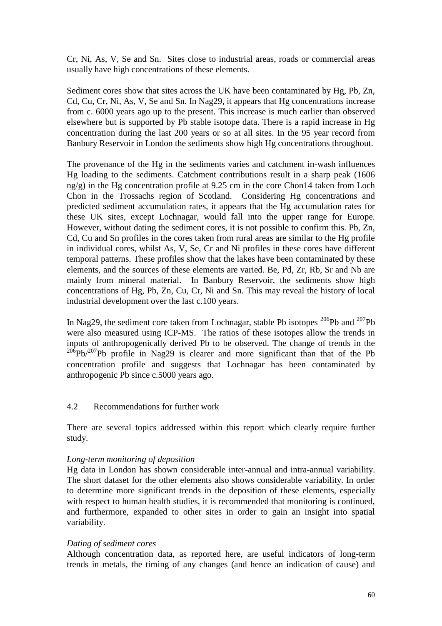Cr, Ni, As, V, Se and Sn. Sites close to industrial areas, roads or commercial areas usually have high concentrations of these elements.

Sediment cores show that sites across the UK have been contaminated by Hg, Pb, Zn, Cd, Cu, Cr, Ni, As, V, Se and Sn. In Nag29, it appears that Hg concentrations increase from c. 6000 years ago up to the present. This increase is much earlier than observed elsewhere but is supported by Pb stable isotope data. There is a rapid increase in Hg concentration during the last 200 years or so at all sites. In the 95 year record from Banbury Reservoir in London the sediments show high Hg concentrations throughout.

The provenance of the Hg in the sediments varies and catchment in-wash influences Hg loading to the sediments. Catchment contributions result in a sharp peak (1606 ng/g) in the Hg concentration profile at 9.25 cm in the core Chon14 taken from Loch Chon in the Trossachs region of Scotland. Considering Hg concentrations and predicted sediment accumulation rates, it appears that the Hg accumulation rates for these UK sites, except Lochnagar, would fall into the upper range for Europe. However, without dating the sediment cores, it is not possible to confirm this. Pb, Zn, Cd, Cu and Sn profiles in the cores taken from rural areas are similar to the Hg profile in individual cores, whilst As, V, Se, Cr and Ni profiles in these cores have different temporal patterns. These profiles show that the lakes have been contaminated by these elements, and the sources of these elements are varied. Be, Pd, Zr, Rb, Sr and Nb are mainly from mineral material. In Banbury Reservoir, the sediments show high concentrations of Hg, Pb, Zn, Cu, Cr, Ni and Sn. This may reveal the history of local industrial development over the last c.100 years.

In Nag29, the sediment core taken from Lochnagar, stable Pb isotopes  $^{206}Pb$  and  $^{207}Pb$ were also measured using ICP-MS. The ratios of these isotopes allow the trends in inputs of anthropogenically derived Pb to be observed. The change of trends in the  $206Pb/207Pb$  profile in Nag29 is clearer and more significant than that of the Pb concentration profile and suggests that Lochnagar has been contaminated by anthropogenic Pb since c.5000 years ago.

## 4.2 Recommendations for further work

There are several topics addressed within this report which clearly require further study.

## *Long-term monitoring of deposition*

Hg data in London has shown considerable inter-annual and intra-annual variability. The short dataset for the other elements also shows considerable variability. In order to determine more significant trends in the deposition of these elements, especially with respect to human health studies, it is recommended that monitoring is continued, and furthermore, expanded to other sites in order to gain an insight into spatial variability.

## *Dating of sediment cores*

Although concentration data, as reported here, are useful indicators of long-term trends in metals, the timing of any changes (and hence an indication of cause) and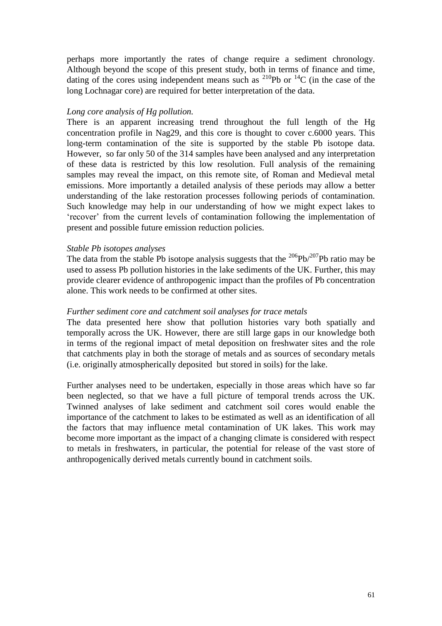perhaps more importantly the rates of change require a sediment chronology. Although beyond the scope of this present study, both in terms of finance and time, dating of the cores using independent means such as  $^{210}Pb$  or  $^{14}C$  (in the case of the long Lochnagar core) are required for better interpretation of the data.

#### *Long core analysis of Hg pollution.*

There is an apparent increasing trend throughout the full length of the Hg concentration profile in Nag29, and this core is thought to cover c.6000 years. This long-term contamination of the site is supported by the stable Pb isotope data. However, so far only 50 of the 314 samples have been analysed and any interpretation of these data is restricted by this low resolution. Full analysis of the remaining samples may reveal the impact, on this remote site, of Roman and Medieval metal emissions. More importantly a detailed analysis of these periods may allow a better understanding of the lake restoration processes following periods of contamination. Such knowledge may help in our understanding of how we might expect lakes to 'recover' from the current levels of contamination following the implementation of present and possible future emission reduction policies.

#### *Stable Pb isotopes analyses*

The data from the stable Pb isotope analysis suggests that the  $^{206}Pb^{207}Pb$  ratio may be used to assess Pb pollution histories in the lake sediments of the UK. Further, this may provide clearer evidence of anthropogenic impact than the profiles of Pb concentration alone. This work needs to be confirmed at other sites.

#### *Further sediment core and catchment soil analyses for trace metals*

The data presented here show that pollution histories vary both spatially and temporally across the UK. However, there are still large gaps in our knowledge both in terms of the regional impact of metal deposition on freshwater sites and the role that catchments play in both the storage of metals and as sources of secondary metals (i.e. originally atmospherically deposited but stored in soils) for the lake.

Further analyses need to be undertaken, especially in those areas which have so far been neglected, so that we have a full picture of temporal trends across the UK. Twinned analyses of lake sediment and catchment soil cores would enable the importance of the catchment to lakes to be estimated as well as an identification of all the factors that may influence metal contamination of UK lakes. This work may become more important as the impact of a changing climate is considered with respect to metals in freshwaters, in particular, the potential for release of the vast store of anthropogenically derived metals currently bound in catchment soils.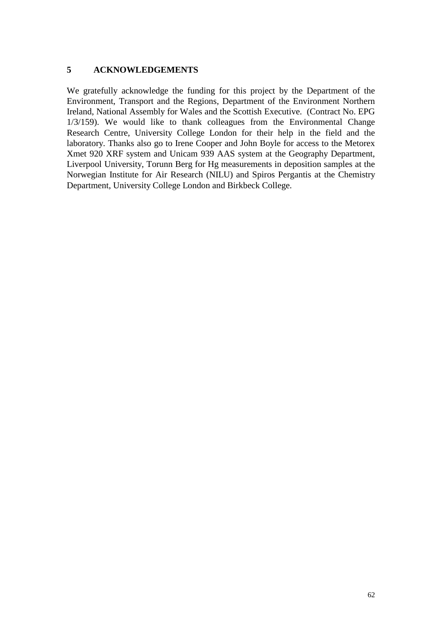# **5 ACKNOWLEDGEMENTS**

We gratefully acknowledge the funding for this project by the Department of the Environment, Transport and the Regions, Department of the Environment Northern Ireland, National Assembly for Wales and the Scottish Executive. (Contract No. EPG 1/3/159). We would like to thank colleagues from the Environmental Change Research Centre, University College London for their help in the field and the laboratory. Thanks also go to Irene Cooper and John Boyle for access to the Metorex Xmet 920 XRF system and Unicam 939 AAS system at the Geography Department, Liverpool University, Torunn Berg for Hg measurements in deposition samples at the Norwegian Institute for Air Research (NILU) and Spiros Pergantis at the Chemistry Department, University College London and Birkbeck College.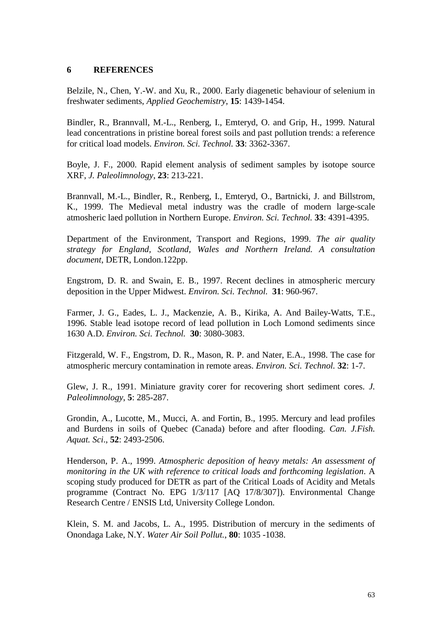## **6 REFERENCES**

Belzile, N., Chen, Y.-W. and Xu, R., 2000. Early diagenetic behaviour of selenium in freshwater sediments, *Applied Geochemistry*, **15**: 1439-1454.

Bindler, R., Brannvall, M.-L., Renberg, I., Emteryd, O. and Grip, H., 1999. Natural lead concentrations in pristine boreal forest soils and past pollution trends: a reference for critical load models. *Environ. Sci. Technol.* **33**: 3362-3367.

Boyle, J. F., 2000. Rapid element analysis of sediment samples by isotope source XRF, *J. Paleolimnology*, **23**: 213-221.

Brannvall, M.-L., Bindler, R., Renberg, I., Emteryd, O., Bartnicki, J. and Billstrom, K., 1999. The Medieval metal industry was the cradle of modern large-scale atmosheric laed pollution in Northern Europe. *Environ. Sci. Technol.* **33**: 4391-4395.

Department of the Environment, Transport and Regions, 1999. *The air quality strategy for England, Scotland, Wales and Northern Ireland. A consultation document*, DETR, London.122pp.

Engstrom, D. R. and Swain, E. B., 1997. Recent declines in atmospheric mercury deposition in the Upper Midwest. *Environ. Sci. Technol.* **31**: 960-967.

Farmer, J. G., Eades, L. J., Mackenzie, A. B., Kirika, A. And Bailey-Watts, T.E., 1996. Stable lead isotope record of lead pollution in Loch Lomond sediments since 1630 A.D. *Environ. Sci. Technol.* **30**: 3080-3083.

Fitzgerald, W. F., Engstrom, D. R., Mason, R. P. and Nater, E.A., 1998. The case for atmospheric mercury contamination in remote areas. *Environ. Sci. Technol.* **32**: 1-7.

Glew, J. R., 1991. Miniature gravity corer for recovering short sediment cores*. J. Paleolimnology*, **5**: 285-287.

Grondin, A., Lucotte, M., Mucci, A. and Fortin, B., 1995. Mercury and lead profiles and Burdens in soils of Quebec (Canada) before and after flooding. *Can. J.Fish. Aquat. Sci*., **52**: 2493-2506.

Henderson, P. A., 1999. *Atmospheric deposition of heavy metals: An assessment of monitoring in the UK with reference to critical loads and forthcoming legislation*. A scoping study produced for DETR as part of the Critical Loads of Acidity and Metals programme (Contract No. EPG 1/3/117 [AQ 17/8/307]). Environmental Change Research Centre / ENSIS Ltd, University College London.

Klein, S. M. and Jacobs, L. A., 1995. Distribution of mercury in the sediments of Onondaga Lake, N.Y. *Water Air Soil Pollut.*, **80**: 1035 -1038.